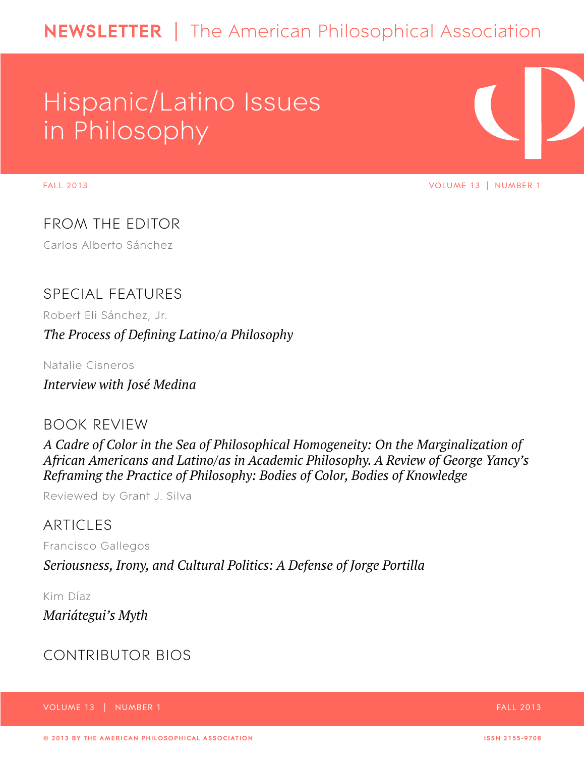# Hispanic/Latino Issues in Philosophy

FALL 2013 VOLUME 13 | NUMBER 1

FROM THE EDITOR Carlos Alberto Sánchez

# Special features

Robert Eli Sánchez, Jr. *The Process of Defining Latino/a Philosophy*

Natalie Cisneros

*Interview with José Medina*

# BOOK REVIEW

*A Cadre of Color in the Sea of Philosophical Homogeneity: On the Marginalization of African Americans and Latino/as in Academic Philosophy. A Review of George Yancy's Reframing the Practice of Philosophy: Bodies of Color, Bodies of Knowledge*

Reviewed by Grant J. Silva

# ARTICLES

Francisco Gallegos

*Seriousness, Irony, and Cultural Politics: A Defense of Jorge Portilla*

Kim Díaz *Mariátegui's Myth*

# contributor bios

Volume 13 | Number 1 Fall 2013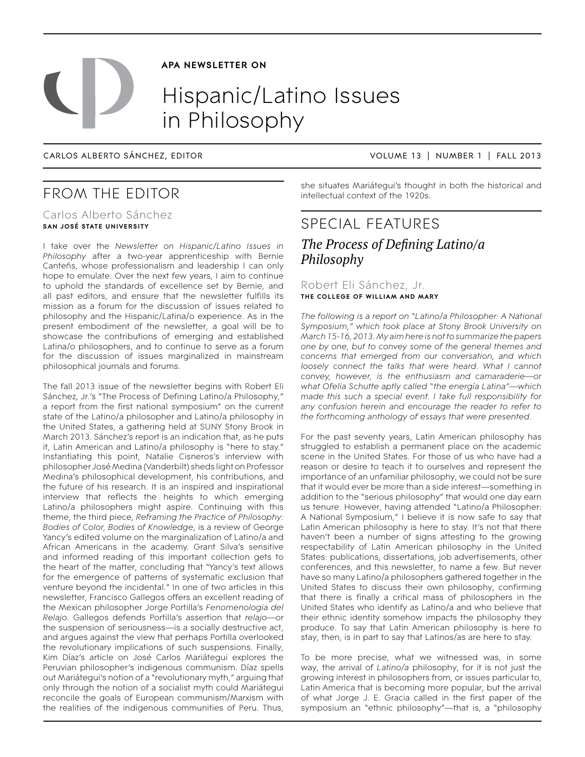# **APA NEWSLETTER ON**

# Hispanic/Latino Issues in Philosophy

Carlos Alberto SÁnchez, EDITOR VOLUME 13 | NUMBER 1 | FALL 2013

# From the Editor

# Carlos Alberto Sánchez **San JosÉ State University**

I take over the *Newsletter on Hispanic/Latino Issues in Philosophy* after a two-year apprenticeship with Bernie Canteñs, whose professionalism and leadership I can only hope to emulate. Over the next few years, I aim to continue to uphold the standards of excellence set by Bernie, and all past editors, and ensure that the newsletter fulfills its mission as a forum for the discussion of issues related to philosophy and the Hispanic/Latina/o experience. As in the present embodiment of the newsletter, a goal will be to showcase the contributions of emerging and established Latina/o philosophers, and to continue to serve as a forum for the discussion of issues marginalized in mainstream philosophical journals and forums.

The fall 2013 issue of the newsletter begins with Robert Eli Sánchez, Jr.'s "The Process of Defining Latino/a Philosophy," a report from the first national symposium" on the current state of the Latino/a philosopher and Latino/a philosophy in the United States, a gathering held at SUNY Stony Brook in March 2013. Sánchez's report is an indication that, as he puts it, Latin American and Latino/a philosophy is "here to stay." Instantiating this point, Natalie Cisneros's interview with philosopher José Medina (Vanderbilt) sheds light on Professor Medina's philosophical development, his contributions, and the future of his research. It is an inspired and inspirational interview that reflects the heights to which emerging Latino/a philosophers might aspire. Continuing with this theme, the third piece, *Reframing the Practice of Philosophy: Bodies of Color, Bodies of Knowledge*, is a review of George Yancy's edited volume on the marginalization of Latino/a and African Americans in the academy. Grant Silva's sensitive and informed reading of this important collection gets to the heart of the matter, concluding that "Yancy's text allows for the emergence of patterns of systematic exclusion that venture beyond the incidental." In one of two articles in this newsletter, Francisco Gallegos offers an excellent reading of the Mexican philosopher Jorge Portilla's *Fenomenologia del Relajo*. Gallegos defends Portilla's assertion that *relajo*—or the suspension of seriousness—is a socially destructive act, and argues against the view that perhaps Portilla overlooked the revolutionary implications of such suspensions. Finally, Kim Díaz's article on José Carlos Mariátegui explores the Peruvian philosopher's indigenous communism. Díaz spells out Mariátegui's notion of a "revolutionary myth," arguing that only through the notion of a socialist myth could Mariátegui reconcile the goals of European communism/Marxism with the realities of the indigenous communities of Peru. Thus,

she situates Mariátegui's thought in both the historical and intellectual context of the 1920s.

# special features *The Process of Defining Latino/a Philosophy*

Robert Eli Sánchez, Jr. **The College of William and Mary**

*The following is a report on "Latino/a Philosopher: A National Symposium," which took place at Stony Brook University on March 15-16, 2013. My aim here is not to summarize the papers one by one, but to convey some of the general themes and concerns that emerged from our conversation, and which loosely connect the talks that were heard. What I cannot convey, however, is the enthusiasm and camaraderie—or what Ofelia Schutte aptly called "the energía Latina"—which made this such a special event. I take full responsibility for*  any confusion herein and encourage the reader to refer to *the forthcoming anthology of essays that were presented.* 

For the past seventy years, Latin American philosophy has struggled to establish a permanent place on the academic scene in the United States. For those of us who have had a reason or desire to teach it to ourselves and represent the importance of an unfamiliar philosophy, we could not be sure that it would ever be more than a side interest—something in addition to the "serious philosophy" that would one day earn us tenure. However, having attended "Latino/a Philosopher: A National Symposium," I believe it is now safe to say that Latin American philosophy is here to stay. It's not that there haven't been a number of signs attesting to the growing respectability of Latin American philosophy in the United States: publications, dissertations, job advertisements, other conferences, and this newsletter, to name a few. But never have so many Latino/a philosophers gathered together in the United States to discuss their own philosophy, confirming that there is finally a critical mass of philosophers in the United States who identify as Latino/a and who believe that their ethnic identity somehow impacts the philosophy they produce. To say that Latin American philosophy is here to stay, then, is in part to say that Latinos/as are here to stay.

To be more precise, what we witnessed was, in some way, the arrival of *Latino/a* philosophy, for it is not just the growing interest in philosophers from, or issues particular to, Latin America that is becoming more popular, but the arrival of what Jorge J. E. Gracia called in the first paper of the symposium an "ethnic philosophy"—that is, a "philosophy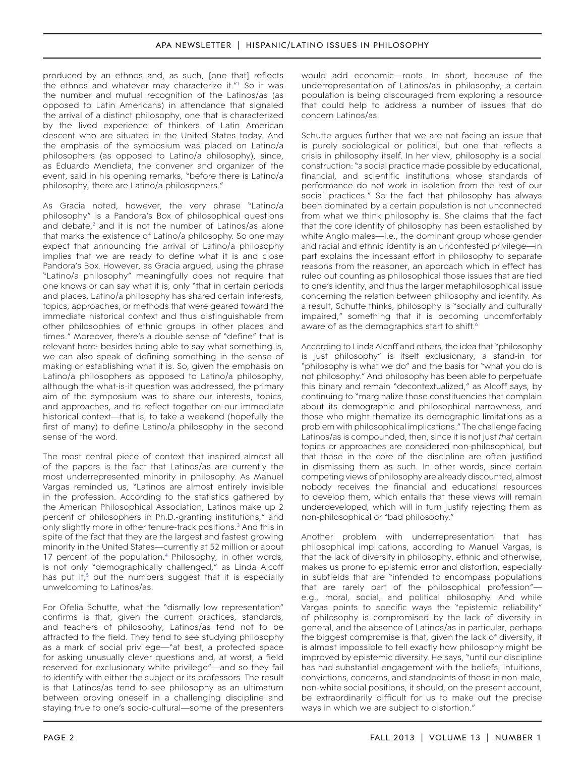produced by an ethnos and, as such, [one that] reflects the ethnos and whatever may characterize it."<sup>1</sup> So it was the number and mutual recognition of the Latinos/as (as opposed to Latin Americans) in attendance that signaled the arrival of a distinct philosophy, one that is characterized by the lived experience of thinkers of Latin American descent who are situated in the United States today. And the emphasis of the symposium was placed on Latino/a philosophers (as opposed to Latino/a philosophy), since, as Eduardo Mendieta, the convener and organizer of the event, said in his opening remarks, "before there is Latino/a philosophy, there are Latino/a philosophers."

As Gracia noted, however, the very phrase "Latino/a philosophy" is a Pandora's Box of philosophical questions and debate, $2$  and it is not the number of Latinos/as alone that marks the existence of Latino/a philosophy. So one may expect that announcing the arrival of Latino/a philosophy implies that we are ready to define what it is and close Pandora's Box. However, as Gracia argued, using the phrase "Latino/a philosophy" meaningfully does not require that one knows or can say what it is, only "that in certain periods and places, Latino/a philosophy has shared certain interests, topics, approaches, or methods that were geared toward the immediate historical context and thus distinguishable from other philosophies of ethnic groups in other places and times." Moreover, there's a double sense of "define" that is relevant here: besides being able to say what something is, we can also speak of defining something in the sense of making or establishing what it is. So, given the emphasis on Latino/a philosophers as opposed to Latino/a philosophy, although the what-is-it question was addressed, the primary aim of the symposium was to share our interests, topics, and approaches, and to reflect together on our immediate historical context—that is, to take a weekend (hopefully the first of many) to define Latino/a philosophy in the second sense of the word.

The most central piece of context that inspired almost all of the papers is the fact that Latinos/as are currently the most underrepresented minority in philosophy. As Manuel Vargas reminded us, "Latinos are almost entirely invisible in the profession. According to the statistics gathered by the American Philosophical Association, Latinos make up 2 percent of philosophers in Ph.D.-granting institutions," and only slightly more in other tenure-track positions.<sup>3</sup> And this in spite of the fact that they are the largest and fastest growing minority in the United States—currently at 52 million or about 17 percent of the population.<sup>4</sup> Philosophy, in other words, is not only "demographically challenged," as Linda Alcoff has put it, $5$  but the numbers suggest that it is especially unwelcoming to Latinos/as.

For Ofelia Schutte, what the "dismally low representation" confirms is that, given the current practices, standards, and teachers of philosophy, Latinos/as tend not to be attracted to the field. They tend to see studying philosophy as a mark of social privilege—"at best, a protected space for asking unusually clever questions and, at worst, a field reserved for exclusionary white privilege"—and so they fail to identify with either the subject or its professors. The result is that Latinos/as tend to see philosophy as an ultimatum between proving oneself in a challenging discipline and staying true to one's socio-cultural—some of the presenters

would add economic—roots. In short, because of the underrepresentation of Latinos/as in philosophy, a certain population is being discouraged from exploring a resource that could help to address a number of issues that do concern Latinos/as.

Schutte argues further that we are not facing an issue that is purely sociological or political, but one that reflects a crisis in philosophy itself. In her view, philosophy is a social construction: "a social practice made possible by educational, financial, and scientific institutions whose standards of performance do not work in isolation from the rest of our social practices." So the fact that philosophy has always been dominated by a certain population is not unconnected from what we think philosophy is. She claims that the fact that the core identity of philosophy has been established by white Anglo males—i.e., the dominant group whose gender and racial and ethnic identity is an uncontested privilege—in part explains the incessant effort in philosophy to separate reasons from the reasoner, an approach which in effect has ruled out counting as philosophical those issues that are tied to one's identity, and thus the larger metaphilosophical issue concerning the relation between philosophy and identity. As a result, Schutte thinks, philosophy is "socially and culturally impaired," something that it is becoming uncomfortably aware of as the demographics start to shift.<sup>6</sup>

According to Linda Alcoff and others, the idea that "philosophy is just philosophy" is itself exclusionary, a stand-in for "philosophy is what we do" and the basis for "what you do is not philosophy." And philosophy has been able to perpetuate this binary and remain "decontextualized," as Alcoff says, by continuing to "marginalize those constituencies that complain about its demographic and philosophical narrowness, and those who might thematize its demographic limitations as a problem with philosophical implications." The challenge facing Latinos/as is compounded, then, since it is not just *that* certain topics or approaches are considered non-philosophical, but that those in the core of the discipline are often justified in dismissing them as such. In other words, since certain competing views of philosophy are already discounted, almost nobody receives the financial and educational resources to develop them, which entails that these views will remain underdeveloped, which will in turn justify rejecting them as non-philosophical or "bad philosophy."

Another problem with underrepresentation that has philosophical implications, according to Manuel Vargas, is that the lack of diversity in philosophy, ethnic and otherwise, makes us prone to epistemic error and distortion, especially in subfields that are "intended to encompass populations that are rarely part of the philosophical profession" e.g., moral, social, and political philosophy. And while Vargas points to specific ways the "epistemic reliability" of philosophy is compromised by the lack of diversity in general, and the absence of Latinos/as in particular, perhaps the biggest compromise is that, given the lack of diversity, it is almost impossible to tell exactly how philosophy might be improved by epistemic diversity. He says, "until our discipline has had substantial engagement with the beliefs, intuitions, convictions, concerns, and standpoints of those in non-male, non-white social positions, it should, on the present account, be extraordinarily difficult for us to make out the precise ways in which we are subject to distortion."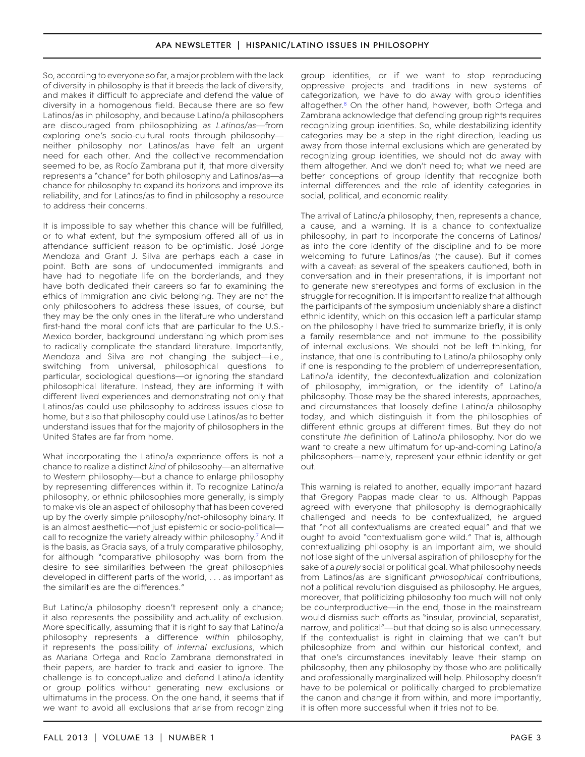So, according to everyone so far, a major problem with the lack of diversity in philosophy is that it breeds the lack of diversity, and makes it difficult to appreciate and defend the value of diversity in a homogenous field. Because there are so few Latinos/as in philosophy, and because Latino/a philosophers are discouraged from philosophizing *as Latinos/as*—from exploring one's socio-cultural roots through philosophy neither philosophy nor Latinos/as have felt an urgent need for each other. And the collective recommendation seemed to be, as Rocío Zambrana put it, that more diversity represents a "chance" for both philosophy and Latinos/as—a chance for philosophy to expand its horizons and improve its reliability, and for Latinos/as to find in philosophy a resource to address their concerns.

It is impossible to say whether this chance will be fulfilled, or to what extent, but the symposium offered all of us in attendance sufficient reason to be optimistic. José Jorge Mendoza and Grant J. Silva are perhaps each a case in point. Both are sons of undocumented immigrants and have had to negotiate life on the borderlands, and they have both dedicated their careers so far to examining the ethics of immigration and civic belonging. They are not the only philosophers to address these issues, of course, but they may be the only ones in the literature who understand first-hand the moral conflicts that are particular to the U.S.- Mexico border, background understanding which promises to radically complicate the standard literature. Importantly, Mendoza and Silva are not changing the subject—i.e., switching from universal, philosophical questions to particular, sociological questions—or ignoring the standard philosophical literature. Instead, they are informing it with different lived experiences and demonstrating not only that Latinos/as could use philosophy to address issues close to home, but also that philosophy could use Latinos/as to better understand issues that for the majority of philosophers in the United States are far from home.

What incorporating the Latino/a experience offers is not a chance to realize a distinct *kind* of philosophy—an alternative to Western philosophy—but a chance to enlarge philosophy by representing differences within it. To recognize Latino/a philosophy, or ethnic philosophies more generally, is simply to make visible an aspect of philosophy that has been covered up by the overly simple philosophy/not-philosophy binary. It is an almost aesthetic—not just epistemic or socio-political call to recognize the variety already within philosophy.<sup>7</sup> And it is the basis, as Gracia says, of a truly comparative philosophy, for although "comparative philosophy was born from the desire to see similarities between the great philosophies developed in different parts of the world, . . . as important as the similarities are the differences."

But Latino/a philosophy doesn't represent only a chance; it also represents the possibility and actuality of exclusion. More specifically, assuming that it is right to say that Latino/a philosophy represents a difference *within* philosophy, it represents the possibility of *internal exclusions*, which as Mariana Ortega and Rocío Zambrana demonstrated in their papers, are harder to track and easier to ignore. The challenge is to conceptualize and defend Latino/a identity or group politics without generating new exclusions or ultimatums in the process. On the one hand, it seems that if we want to avoid all exclusions that arise from recognizing

group identities, or if we want to stop reproducing oppressive projects and traditions in new systems of categorization, we have to do away with group identities altogether.<sup>8</sup> On the other hand, however, both Ortega and Zambrana acknowledge that defending group rights requires recognizing group identities. So, while destabilizing identity categories may be a step in the right direction, leading us away from those internal exclusions which are generated by recognizing group identities, we should not do away with them altogether. And we don't need to; what we need are better conceptions of group identity that recognize both internal differences and the role of identity categories in social, political, and economic reality.

The arrival of Latino/a philosophy, then, represents a chance, a cause, and a warning. It is a chance to contextualize philosophy, in part to incorporate the concerns of Latinos/ as into the core identity of the discipline and to be more welcoming to future Latinos/as (the cause). But it comes with a caveat: as several of the speakers cautioned, both in conversation and in their presentations, it is important not to generate new stereotypes and forms of exclusion in the struggle for recognition. It is important to realize that although the participants of the symposium undeniably share a distinct ethnic identity, which on this occasion left a particular stamp on the philosophy I have tried to summarize briefly, it is only a family resemblance and not immune to the possibility of internal exclusions. We should not be left thinking, for instance, that one is contributing to Latino/a philosophy only if one is responding to the problem of underrepresentation, Latino/a identity, the decontextualization and colonization of philosophy, immigration, or the identity of Latino/a philosophy. Those may be the shared interests, approaches, and circumstances that loosely define Latino/a philosophy today, and which distinguish it from the philosophies of different ethnic groups at different times. But they do not constitute *the* definition of Latino/a philosophy. Nor do we want to create a new ultimatum for up-and-coming Latino/a philosophers—namely, represent your ethnic identity or get out.

This warning is related to another, equally important hazard that Gregory Pappas made clear to us. Although Pappas agreed with everyone that philosophy is demographically challenged and needs to be contextualized, he argued that "not all contextualisms are created equal" and that we ought to avoid "contextualism gone wild." That is, although contextualizing philosophy is an important aim, we should not lose sight of the universal aspiration of philosophy for the sake of a *purely* social or political goal. What philosophy needs from Latinos/as are significant *philosophical* contributions, not a political revolution disguised as philosophy. He argues, moreover, that politicizing philosophy too much will not only be counterproductive—in the end, those in the mainstream would dismiss such efforts as "insular, provincial, separatist, narrow, and political"—but that doing so is also unnecessary. If the contextualist is right in claiming that we can't but philosophize from and within our historical context, and that one's circumstances inevitably leave their stamp on philosophy, then any philosophy by those who are politically and professionally marginalized will help. Philosophy doesn't have to be polemical or politically charged to problematize the canon and change it from within, and more importantly, it is often more successful when it tries not to be.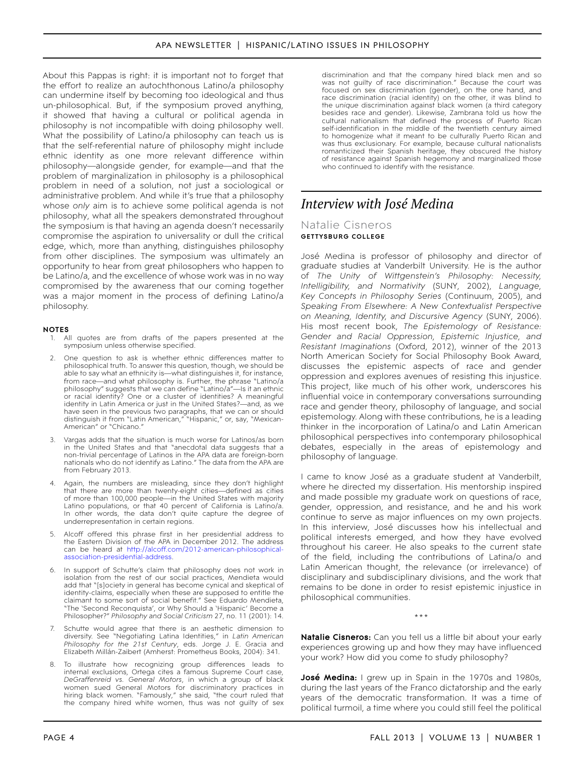About this Pappas is right: it is important not to forget that the effort to realize an autochthonous Latino/a philosophy can undermine itself by becoming too ideological and thus un-philosophical. But, if the symposium proved anything, it showed that having a cultural or political agenda in philosophy is not incompatible with doing philosophy well. What the possibility of Latino/a philosophy can teach us is that the self-referential nature of philosophy might include ethnic identity as one more relevant difference within philosophy—alongside gender, for example—and that the problem of marginalization in philosophy is a philosophical problem in need of a solution, not just a sociological or administrative problem. And while it's true that a philosophy whose *only* aim is to achieve some political agenda is not philosophy, what all the speakers demonstrated throughout the symposium is that having an agenda doesn't necessarily compromise the aspiration to universality or dull the critical edge, which, more than anything, distinguishes philosophy from other disciplines. The symposium was ultimately an opportunity to hear from great philosophers who happen to be Latino/a, and the excellence of whose work was in no way compromised by the awareness that our coming together was a major moment in the process of defining Latino/a philosophy.

#### **notes**

- <span id="page-4-0"></span>1. All quotes are from drafts of the papers presented at the symposium unless otherwise specified.
- <span id="page-4-1"></span>2. One question to ask is whether ethnic differences matter to philosophical truth. To answer this question, though, we should be able to say what an ethnicity is—what distinguishes it, for instance, from race—and what philosophy is. Further, the phrase "Latino/a philosophy" suggests that we can define "Latino/a"—Is it an ethnic or racial identity? One or a cluster of identities? A meaningful identity in Latin America or just in the United States?—and, as we have seen in the previous two paragraphs, that we can or should distinguish it from "Latin American," "Hispanic," or, say, "Mexican-American" or "Chicano."
- <span id="page-4-2"></span>3. Vargas adds that the situation is much worse for Latinos/as born in the United States and that "anecdotal data suggests that a non-trivial percentage of Latinos in the APA data are foreign-born nationals who do not identify as Latino." The data from the APA are from February 2013.
- <span id="page-4-3"></span>4. Again, the numbers are misleading, since they don't highlight that there are more than twenty-eight cities—defined as cities of more than 100,000 people—in the United States with majority Latino populations, or that 40 percent of California is Latino/a. In other words, the data don't quite capture the degree of underrepresentation in certain regions.
- <span id="page-4-4"></span>5. Alcoff offered this phrase first in her presidential address to the Eastern Division of the APA in December 2012. The address can be heard at [http://alcoff.com/2012-american-philosophical](http://alcoff.com/2012-american-philosophical-association-presidential-address)[association-presidential-address.](http://alcoff.com/2012-american-philosophical-association-presidential-address)
- <span id="page-4-5"></span>In support of Schutte's claim that philosophy does not work in isolation from the rest of our social practices, Mendieta would add that "[s]ociety in general has become cynical and skeptical of identity-claims, especially when these are supposed to entitle the claimant to some sort of social benefit." See Eduardo Mendieta, "The 'Second Reconquista', or Why Should a 'Hispanic' Become a Philosopher?" *Philosophy and Social Criticism* 27, no. 11 (2001): 14.
- <span id="page-4-6"></span>7. Schutte would agree that there is an aesthetic dimension to diversity. See "Negotiating Latina Identities," in *Latin American Philosophy for the 21st Century*, eds. Jorge J. E. Gracia and Elizabeth Millán-Zaibert (Amherst: Prometheus Books, 2004): 341.
- <span id="page-4-7"></span>8. To illustrate how recognizing group differences leads to internal exclusions, Ortega cites a famous Supreme Court case, *DeGraffenreid vs. General Motors*, in which a group of black women sued General Motors for discriminatory practices in hiring black women. "Famously," she said, "the court ruled that the company hired white women, thus was not guilty of sex

discrimination and that the company hired black men and so was not guilty of race discrimination." Because the court was focused on sex discrimination (gender), on the one hand, and race discrimination (racial identity) on the other, it was blind to the *unique* discrimination against black women (a third category besides race and gender). Likewise, Zambrana told us how the cultural nationalism that defined the process of Puerto Rican self-identification in the middle of the twentieth century aimed to homogenize what it meant to be culturally Puerto Rican and was thus exclusionary. For example, because cultural nationalists romanticized their Spanish heritage, they obscured the history of resistance against Spanish hegemony and marginalized those who continued to identify with the resistance.

# *Interview with José Medina*

# Natalie Cisneros **Gettysburg College**

José Medina is professor of philosophy and director of graduate studies at Vanderbilt University. He is the author of *The Unity of Wittgenstein's Philosophy: Necessity, Intelligibility, and Normativity* (SUNY, 2002), *Language, Key Concepts in Philosophy Series* (Continuum, 2005), and *Speaking From Elsewhere: A New Contextualist Perspective on Meaning, Identity, and Discursive Agency* (SUNY, 2006). His most recent book, *The Epistemology of Resistance: Gender and Racial Oppression, Epistemic Injustice, and Resistant Imaginations* (Oxford, 2012), winner of the 2013 North American Society for Social Philosophy Book Award, discusses the epistemic aspects of race and gender oppression and explores avenues of resisting this injustice. This project, like much of his other work, underscores his influential voice in contemporary conversations surrounding race and gender theory, philosophy of language, and social epistemology. Along with these contributions, he is a leading thinker in the incorporation of Latina/o and Latin American philosophical perspectives into contemporary philosophical debates, especially in the areas of epistemology and philosophy of language.

I came to know José as a graduate student at Vanderbilt, where he directed my dissertation. His mentorship inspired and made possible my graduate work on questions of race, gender, oppression, and resistance, and he and his work continue to serve as major influences on my own projects. In this interview, José discusses how his intellectual and political interests emerged, and how they have evolved throughout his career. He also speaks to the current state of the field, including the contributions of Latina/o and Latin American thought, the relevance (or irrelevance) of disciplinary and subdisciplinary divisions, and the work that remains to be done in order to resist epistemic injustice in philosophical communities.

\*\*\*

**Natalie Cisneros:** Can you tell us a little bit about your early experiences growing up and how they may have influenced your work? How did you come to study philosophy?

**José Medina:** I grew up in Spain in the 1970s and 1980s, during the last years of the Franco dictatorship and the early years of the democratic transformation. It was a time of political turmoil, a time where you could still feel the political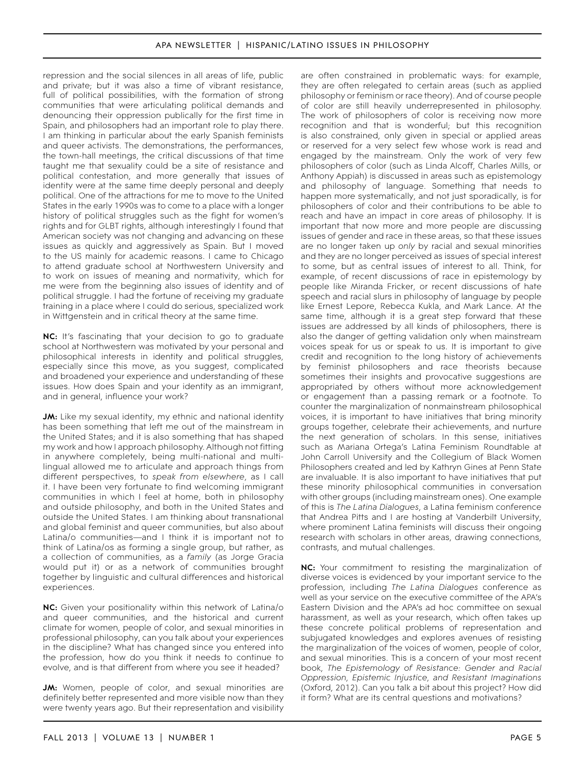repression and the social silences in all areas of life, public and private; but it was also a time of vibrant resistance, full of political possibilities, with the formation of strong communities that were articulating political demands and denouncing their oppression publically for the first time in Spain, and philosophers had an important role to play there. I am thinking in particular about the early Spanish feminists and queer activists. The demonstrations, the performances, the town-hall meetings, the critical discussions of that time taught me that sexuality could be a site of resistance and political contestation, and more generally that issues of identity were at the same time deeply personal and deeply political. One of the attractions for me to move to the United States in the early 1990s was to come to a place with a longer history of political struggles such as the fight for women's rights and for GLBT rights, although interestingly I found that American society was not changing and advancing on these issues as quickly and aggressively as Spain. But I moved to the US mainly for academic reasons. I came to Chicago to attend graduate school at Northwestern University and to work on issues of meaning and normativity, which for me were from the beginning also issues of identity and of political struggle. I had the fortune of receiving my graduate training in a place where I could do serious, specialized work in Wittgenstein and in critical theory at the same time.

**NC:** It's fascinating that your decision to go to graduate school at Northwestern was motivated by your personal and philosophical interests in identity and political struggles, especially since this move, as you suggest, complicated and broadened your experience and understanding of these issues. How does Spain and your identity as an immigrant, and in general, influence your work?

**JM:** Like my sexual identity, my ethnic and national identity has been something that left me out of the mainstream in the United States; and it is also something that has shaped my work and how I approach philosophy. Although not fitting in anywhere completely, being multi-national and multilingual allowed me to articulate and approach things from different perspectives, to *speak from elsewhere*, as I call it. I have been very fortunate to find welcoming immigrant communities in which I feel at home, both in philosophy and outside philosophy, and both in the United States and outside the United States. I am thinking about transnational and global feminist and queer communities, but also about Latina/o communities—and I think it is important not to think of Latina/os as forming a single group, but rather, as a collection of communities, as a *family* (as Jorge Gracia would put it) or as a network of communities brought together by linguistic and cultural differences and historical experiences.

**NC:** Given your positionality within this network of Latina/o and queer communities, and the historical and current climate for women, people of color, and sexual minorities in professional philosophy, can you talk about your experiences in the discipline? What has changed since you entered into the profession, how do you think it needs to continue to evolve, and is that different from where you see it headed?

**JM:** Women, people of color, and sexual minorities are definitely better represented and more visible now than they were twenty years ago. But their representation and visibility are often constrained in problematic ways: for example, they are often relegated to certain areas (such as applied philosophy or feminism or race theory). And of course people of color are still heavily underrepresented in philosophy. The work of philosophers of color is receiving now more recognition and that is wonderful; but this recognition is also constrained, only given in special or applied areas or reserved for a very select few whose work is read and engaged by the mainstream. Only the work of very few philosophers of color (such as Linda Alcoff, Charles Mills, or Anthony Appiah) is discussed in areas such as epistemology and philosophy of language. Something that needs to happen more systematically, and not just sporadically, is for philosophers of color and their contributions to be able to reach and have an impact in core areas of philosophy. It is important that now more and more people are discussing issues of gender and race in these areas, so that these issues are no longer taken up *only* by racial and sexual minorities and they are no longer perceived as issues of special interest to some, but as central issues of interest to all. Think, for example, of recent discussions of race in epistemology by people like Miranda Fricker, or recent discussions of hate speech and racial slurs in philosophy of language by people like Ernest Lepore, Rebecca Kukla, and Mark Lance. At the same time, although it is a great step forward that these issues are addressed by all kinds of philosophers, there is also the danger of getting validation only when mainstream voices speak for us or speak to us. It is important to give credit and recognition to the long history of achievements by feminist philosophers and race theorists because sometimes their insights and provocative suggestions are appropriated by others without more acknowledgement or engagement than a passing remark or a footnote. To counter the marginalization of nonmainstream philosophical voices, it is important to have initiatives that bring minority groups together, celebrate their achievements, and nurture the next generation of scholars. In this sense, initiatives such as Mariana Ortega's Latina Feminism Roundtable at John Carroll University and the Collegium of Black Women Philosophers created and led by Kathryn Gines at Penn State are invaluable. It is also important to have initiatives that put these minority philosophical communities in conversation with other groups (including mainstream ones). One example of this is *The Latina Dialogues*, a Latina feminism conference that Andrea Pitts and I are hosting at Vanderbilt University, where prominent Latina feminists will discuss their ongoing research with scholars in other areas, drawing connections, contrasts, and mutual challenges.

**NC:** Your commitment to resisting the marginalization of diverse voices is evidenced by your important service to the profession, including *The Latina Dialogues* conference as well as your service on the executive committee of the APA's Eastern Division and the APA's ad hoc committee on sexual harassment, as well as your research, which often takes up these concrete political problems of representation and subjugated knowledges and explores avenues of resisting the marginalization of the voices of women, people of color, and sexual minorities. This is a concern of your most recent book, *The Epistemology of Resistance: Gender and Racial Oppression, Epistemic Injustice, and Resistant Imaginations* (Oxford, 2012). Can you talk a bit about this project? How did it form? What are its central questions and motivations?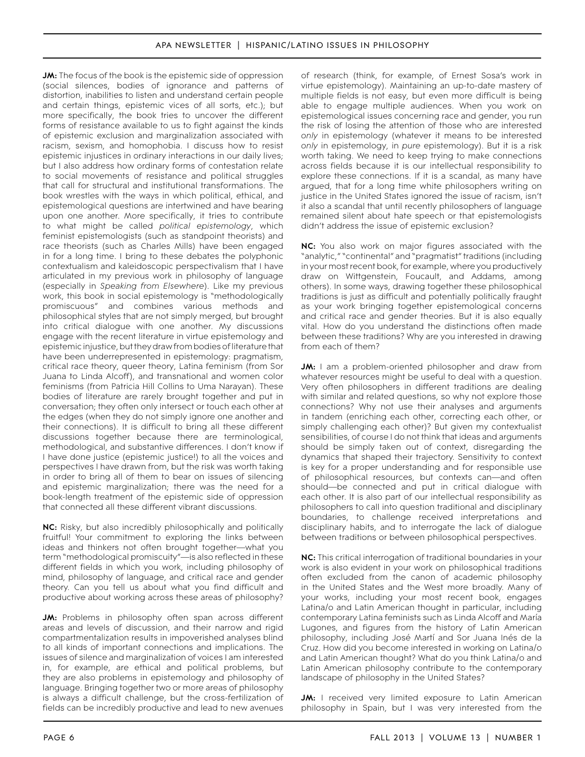**JM:** The focus of the book is the epistemic side of oppression (social silences, bodies of ignorance and patterns of distortion, inabilities to listen and understand certain people and certain things, epistemic vices of all sorts, etc.); but more specifically, the book tries to uncover the different forms of resistance available to us to fight against the kinds of epistemic exclusion and marginalization associated with racism, sexism, and homophobia. I discuss how to resist epistemic injustices in ordinary interactions in our daily lives; but I also address how ordinary forms of contestation relate to social movements of resistance and political struggles that call for structural and institutional transformations. The book wrestles with the ways in which political, ethical, and epistemological questions are intertwined and have bearing upon one another. More specifically, it tries to contribute to what might be called *political epistemology*, which feminist epistemologists (such as standpoint theorists) and race theorists (such as Charles Mills) have been engaged in for a long time. I bring to these debates the polyphonic contextualism and kaleidoscopic perspectivalism that I have articulated in my previous work in philosophy of language (especially in *Speaking from Elsewhere*). Like my previous work, this book in social epistemology is "methodologically promiscuous" and combines various methods and philosophical styles that are not simply merged, but brought into critical dialogue with one another. My discussions engage with the recent literature in virtue epistemology and epistemic injustice, but they draw from bodies of literature that have been underrepresented in epistemology: pragmatism, critical race theory, queer theory, Latina feminism (from Sor Juana to Linda Alcoff), and transnational and women color feminisms (from Patricia Hill Collins to Uma Narayan). These bodies of literature are rarely brought together and put in conversation; they often only intersect or touch each other at the edges (when they do not simply ignore one another and their connections). It is difficult to bring all these different discussions together because there are terminological, methodological, and substantive differences. I don't know if I have done justice (epistemic justice!) to all the voices and perspectives I have drawn from, but the risk was worth taking in order to bring all of them to bear on issues of silencing and epistemic marginalization; there was the need for a book-length treatment of the epistemic side of oppression that connected all these different vibrant discussions.

**NC:** Risky, but also incredibly philosophically and politically fruitful! Your commitment to exploring the links between ideas and thinkers not often brought together—what you term "methodological promiscuity"—is also reflected in these different fields in which you work, including philosophy of mind, philosophy of language, and critical race and gender theory. Can you tell us about what you find difficult and productive about working across these areas of philosophy?

**JM:** Problems in philosophy often span across different areas and levels of discussion, and their narrow and rigid compartmentalization results in impoverished analyses blind to all kinds of important connections and implications. The issues of silence and marginalization of voices I am interested in, for example, are ethical and political problems, but they are also problems in epistemology and philosophy of language. Bringing together two or more areas of philosophy is always a difficult challenge, but the cross-fertilization of fields can be incredibly productive and lead to new avenues

of research (think, for example, of Ernest Sosa's work in virtue epistemology). Maintaining an up-to-date mastery of multiple fields is not easy, but even more difficult is being able to engage multiple audiences. When you work on epistemological issues concerning race and gender, you run the risk of losing the attention of those who are interested *only* in epistemology (whatever it means to be interested *only* in epistemology, in *pure* epistemology). But it is a risk worth taking. We need to keep trying to make connections across fields because it is our intellectual responsibility to explore these connections. If it is a scandal, as many have argued, that for a long time white philosophers writing on justice in the United States ignored the issue of racism, isn't it also a scandal that until recently philosophers of language remained silent about hate speech or that epistemologists didn't address the issue of epistemic exclusion?

**NC:** You also work on major figures associated with the "analytic," "continental" and "pragmatist" traditions (including in your most recent book, for example, where you productively draw on Wittgenstein, Foucault, and Addams, among others). In some ways, drawing together these philosophical traditions is just as difficult and potentially politically fraught as your work bringing together epistemological concerns and critical race and gender theories. But it is also equally vital. How do you understand the distinctions often made between these traditions? Why are you interested in drawing from each of them?

**JM:** I am a problem-oriented philosopher and draw from whatever resources might be useful to deal with a question. Very often philosophers in different traditions are dealing with similar and related questions, so why not explore those connections? Why not use their analyses and arguments in tandem (enriching each other, correcting each other, or simply challenging each other)? But given my contextualist sensibilities, of course I do not think that ideas and arguments should be simply taken out of context, disregarding the dynamics that shaped their trajectory. Sensitivity to context is key for a proper understanding and for responsible use of philosophical resources, but contexts can—and often should—be connected and put in critical dialogue with each other. It is also part of our intellectual responsibility as philosophers to call into question traditional and disciplinary boundaries, to challenge received interpretations and disciplinary habits, and to interrogate the lack of dialogue between traditions or between philosophical perspectives.

**NC:** This critical interrogation of traditional boundaries in your work is also evident in your work on philosophical traditions often excluded from the canon of academic philosophy in the United States and the West more broadly. Many of your works, including your most recent book, engages Latina/o and Latin American thought in particular, including contemporary Latina feminists such as Linda Alcoff and María Lugones, and figures from the history of Latin American philosophy, including José Martí and Sor Juana Inés de la Cruz. How did you become interested in working on Latina/o and Latin American thought? What do you think Latina/o and Latin American philosophy contribute to the contemporary landscape of philosophy in the United States?

**JM:** I received very limited exposure to Latin American philosophy in Spain, but I was very interested from the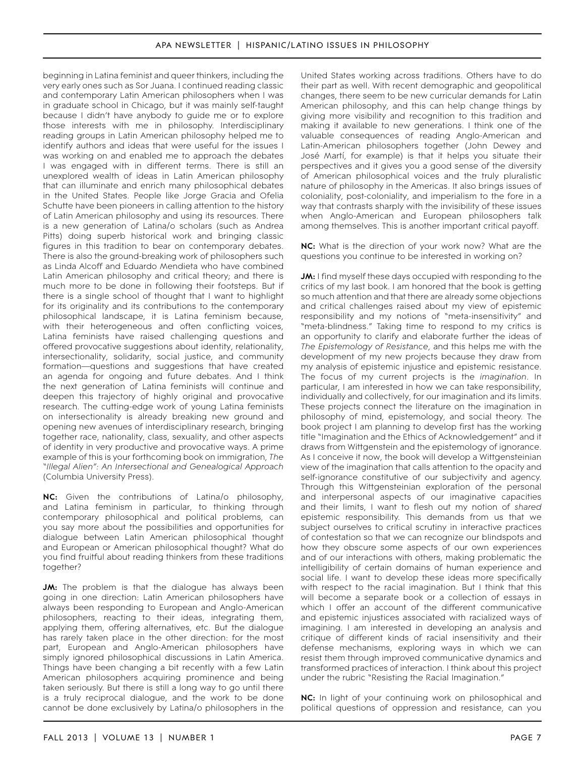beginning in Latina feminist and queer thinkers, including the very early ones such as Sor Juana. I continued reading classic and contemporary Latin American philosophers when I was in graduate school in Chicago, but it was mainly self-taught because I didn't have anybody to guide me or to explore those interests with me in philosophy. Interdisciplinary reading groups in Latin American philosophy helped me to identify authors and ideas that were useful for the issues I was working on and enabled me to approach the debates I was engaged with in different terms. There is still an unexplored wealth of ideas in Latin American philosophy that can illuminate and enrich many philosophical debates in the United States. People like Jorge Gracia and Ofelia Schutte have been pioneers in calling attention to the history of Latin American philosophy and using its resources. There is a new generation of Latina/o scholars (such as Andrea Pitts) doing superb historical work and bringing classic figures in this tradition to bear on contemporary debates. There is also the ground-breaking work of philosophers such as Linda Alcoff and Eduardo Mendieta who have combined Latin American philosophy and critical theory; and there is much more to be done in following their footsteps. But if there is a single school of thought that I want to highlight for its originality and its contributions to the contemporary philosophical landscape, it is Latina feminism because, with their heterogeneous and often conflicting voices, Latina feminists have raised challenging questions and offered provocative suggestions about identity, relationality, intersectionality, solidarity, social justice, and community formation—questions and suggestions that have created an agenda for ongoing and future debates. And I think the next generation of Latina feminists will continue and deepen this trajectory of highly original and provocative research. The cutting-edge work of young Latina feminists on intersectionality is already breaking new ground and opening new avenues of interdisciplinary research, bringing together race, nationality, class, sexuality, and other aspects of identity in very productive and provocative ways. A prime example of this is your forthcoming book on immigration, *The "Illegal Alien": An Intersectional and Genealogical Approach* (Columbia University Press).

**NC:** Given the contributions of Latina/o philosophy, and Latina feminism in particular, to thinking through contemporary philosophical and political problems, can you say more about the possibilities and opportunities for dialogue between Latin American philosophical thought and European or American philosophical thought? What do you find fruitful about reading thinkers from these traditions together?

**JM:** The problem is that the dialogue has always been going in one direction: Latin American philosophers have always been responding to European and Anglo-American philosophers, reacting to their ideas, integrating them, applying them, offering alternatives, etc. But the dialogue has rarely taken place in the other direction: for the most part, European and Anglo-American philosophers have simply ignored philosophical discussions in Latin America. Things have been changing a bit recently with a few Latin American philosophers acquiring prominence and being taken seriously. But there is still a long way to go until there is a truly reciprocal dialogue, and the work to be done cannot be done exclusively by Latina/o philosophers in the

United States working across traditions. Others have to do their part as well. With recent demographic and geopolitical changes, there seem to be new curricular demands for Latin American philosophy, and this can help change things by giving more visibility and recognition to this tradition and making it available to new generations. I think one of the valuable consequences of reading Anglo-American and Latin-American philosophers together (John Dewey and José Martí, for example) is that it helps you situate their perspectives and it gives you a good sense of the diversity of American philosophical voices and the truly pluralistic nature of philosophy in the Americas. It also brings issues of coloniality, post-coloniality, and imperialism to the fore in a way that contrasts sharply with the invisibility of these issues when Anglo-American and European philosophers talk among themselves. This is another important critical payoff.

**NC:** What is the direction of your work now? What are the questions you continue to be interested in working on?

**JM:** I find myself these days occupied with responding to the critics of my last book. I am honored that the book is getting so much attention and that there are already some objections and critical challenges raised about my view of epistemic responsibility and my notions of "meta-insensitivity" and "meta-blindness." Taking time to respond to my critics is an opportunity to clarify and elaborate further the ideas of *The Epistemology of Resistance*, and this helps me with the development of my new projects because they draw from my analysis of epistemic injustice and epistemic resistance. The focus of my current projects is the *imagination*. In particular, I am interested in how we can take responsibility, individually and collectively, for our imagination and its limits. These projects connect the literature on the imagination in philosophy of mind, epistemology, and social theory. The book project I am planning to develop first has the working title "Imagination and the Ethics of Acknowledgement" and it draws from Wittgenstein and the epistemology of ignorance. As I conceive it now, the book will develop a Wittgensteinian view of the imagination that calls attention to the opacity and self-ignorance constitutive of our subjectivity and agency. Through this Wittgensteinian exploration of the personal and interpersonal aspects of our imaginative capacities and their limits, I want to flesh out my notion of *shared* epistemic responsibility. This demands from us that we subject ourselves to critical scrutiny in interactive practices of contestation so that we can recognize our blindspots and how they obscure some aspects of our own experiences and of our interactions with others, making problematic the intelligibility of certain domains of human experience and social life. I want to develop these ideas more specifically with respect to the racial imagination. But I think that this will become a separate book or a collection of essays in which I offer an account of the different communicative and epistemic injustices associated with racialized ways of imagining. I am interested in developing an analysis and critique of different kinds of racial insensitivity and their defense mechanisms, exploring ways in which we can resist them through improved communicative dynamics and transformed practices of interaction. I think about this project under the rubric "Resisting the Racial Imagination."

**NC:** In light of your continuing work on philosophical and political questions of oppression and resistance, can you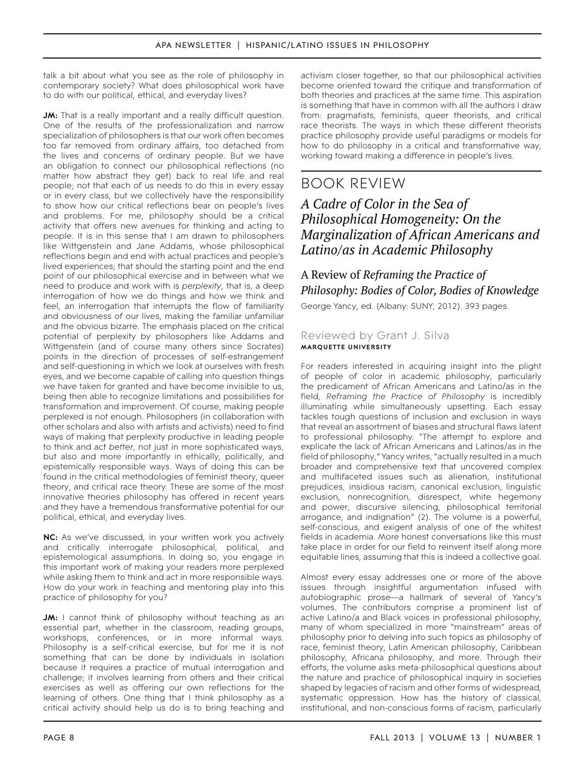talk a bit about what you see as the role of philosophy in contemporary society? What does philosophical work have to do with our political, ethical, and everyday lives?

**JM:** That is a really important and a really difficult question. One of the results of the professionalization and narrow specialization of philosophers is that our work often becomes too far removed from ordinary affairs, too detached from the lives and concerns of ordinary people. But we have an obligation to connect our philosophical reflections (no matter how abstract they get) back to real life and real people; not that each of us needs to do this in every essay or in every class, but we collectively have the responsibility to show how our critical reflections bear on people's lives and problems. For me, philosophy should be a critical activity that offers new avenues for thinking and acting to people. It is in this sense that I am drawn to philosophers like Wittgenstein and Jane Addams, whose philosophical reflections begin and end with actual practices and people's lived experiences; that should the starting point and the end point of our philosophical exercise and in between what we need to produce and work with is *perplexity*, that is, a deep interrogation of how we do things and how we think and feel, an interrogation that interrupts the flow of familiarity and obviousness of our lives, making the familiar unfamiliar and the obvious bizarre. The emphasis placed on the critical potential of perplexity by philosophers like Addams and Wittgenstein (and of course many others since Socrates) points in the direction of processes of self-estrangement and self-questioning in which we look at ourselves with fresh eyes, and we become capable of calling into question things we have taken for granted and have become invisible to us, being then able to recognize limitations and possibilities for transformation and improvement. Of course, making people perplexed is not enough. Philosophers (in collaboration with other scholars and also with artists and activists) need to find ways of making that perplexity productive in leading people to think and act *better*, not just in more sophisticated ways, but also and more importantly in ethically, politically, and epistemically responsible ways. Ways of doing this can be found in the critical methodologies of feminist theory, queer theory, and critical race theory. These are some of the most innovative theories philosophy has offered in recent years and they have a tremendous transformative potential for our political, ethical, and everyday lives.

**NC:** As we've discussed, in your written work you actively and critically interrogate philosophical, political, and epistemological assumptions. In doing so, you engage in this important work of making your readers more perplexed while asking them to think and act in more responsible ways. How do your work in teaching and mentoring play into this practice of philosophy for you?

**JM:** I cannot think of philosophy without teaching as an essential part, whether in the classroom, reading groups, workshops, conferences, or in more informal ways. Philosophy is a self-critical exercise, but for me it is not something that can be done by individuals in isolation because it requires a practice of mutual interrogation and challenge; it involves learning from others and their critical exercises as well as offering our own reflections for the learning of others. One thing that I think philosophy as a critical activity should help us do is to bring teaching and

activism closer together, so that our philosophical activities become oriented toward the critique and transformation of both theories and practices at the same time. This aspiration is something that have in common with all the authors I draw from: pragmatists, feminists, queer theorists, and critical race theorists. The ways in which these different theorists practice philosophy provide useful paradigms or models for how to do philosophy in a critical and transformative way, working toward making a difference in people's lives.

# book review

# *A Cadre of Color in the Sea of Philosophical Homogeneity: On the Marginalization of African Americans and Latino/as in Academic Philosophy*

# A Review of *Reframing the Practice of Philosophy: Bodies of Color, Bodies of Knowledge*

George Yancy, ed. (Albany: SUNY, 2012). 393 pages.

# Reviewed by Grant J. Silva **Marquette University**

For readers interested in acquiring insight into the plight of people of color in academic philosophy, particularly the predicament of African Americans and Latino/as in the field, *Reframing the Practice of Philosophy* is incredibly illuminating while simultaneously upsetting. Each essay tackles tough questions of inclusion and exclusion in ways that reveal an assortment of biases and structural flaws latent to professional philosophy. "The attempt to explore and explicate the lack of African Americans and Latinos/as in the field of philosophy," Yancy writes, "actually resulted in a much broader and comprehensive text that uncovered complex and multifaceted issues such as alienation, institutional prejudices, insidious racism, canonical exclusion, linguistic exclusion, nonrecognition, disrespect, white hegemony and power, discursive silencing, philosophical territorial arrogance, and indignation" (2). The volume is a powerful, self-conscious, and exigent analysis of one of the whitest fields in academia. More honest conversations like this must take place in order for our field to reinvent itself along more equitable lines, assuming that this is indeed a collective goal.

Almost every essay addresses one or more of the above issues through insightful argumentation infused with autobiographic prose—a hallmark of several of Yancy's volumes. The contributors comprise a prominent list of active Latino/a and Black voices in professional philosophy, many of whom specialized in more "mainstream" areas of philosophy prior to delving into such topics as philosophy of race, feminist theory, Latin American philosophy, Caribbean philosophy, Africana philosophy, and more. Through their efforts, the volume asks meta-philosophical questions about the nature and practice of philosophical inquiry in societies shaped by legacies of racism and other forms of widespread, systematic oppression. How has the history of classical, institutional, and non-conscious forms of racism, particularly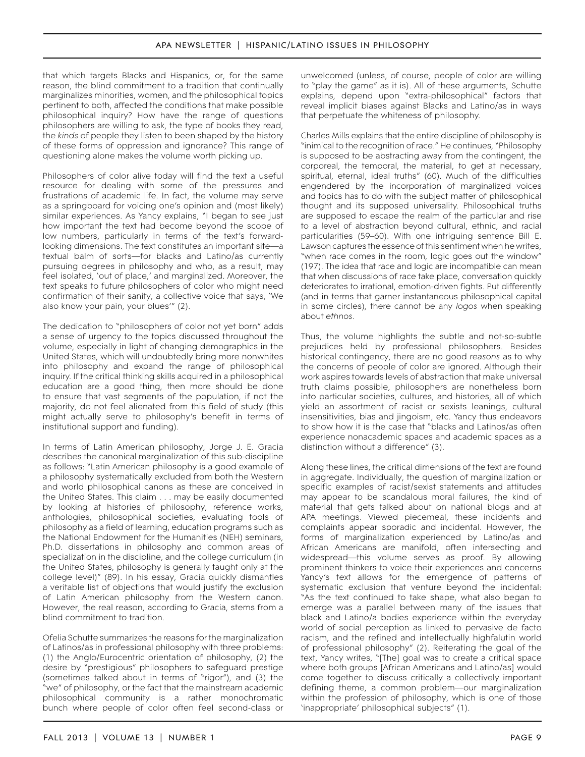that which targets Blacks and Hispanics, or, for the same reason, the blind commitment to a tradition that continually marginalizes minorities, women, and the philosophical topics pertinent to both, affected the conditions that make possible philosophical inquiry? How have the range of questions philosophers are willing to ask, the type of books they read, the *kinds* of people they listen to been shaped by the history of these forms of oppression and ignorance? This range of questioning alone makes the volume worth picking up.

Philosophers of color alive today will find the text a useful resource for dealing with some of the pressures and frustrations of academic life. In fact, the volume may serve as a springboard for voicing one's opinion and (most likely) similar experiences. As Yancy explains, "I began to see just how important the text had become beyond the scope of low numbers, particularly in terms of the text's forwardlooking dimensions. The text constitutes an important site—a textual balm of sorts—for blacks and Latino/as currently pursuing degrees in philosophy and who, as a result, may feel isolated, 'out of place,' and marginalized. Moreover, the text speaks to future philosophers of color who might need confirmation of their sanity, a collective voice that says, 'We also know your pain, your blues'" (2).

The dedication to "philosophers of color not yet born" adds a sense of urgency to the topics discussed throughout the volume, especially in light of changing demographics in the United States, which will undoubtedly bring more nonwhites into philosophy and expand the range of philosophical inquiry. If the critical thinking skills acquired in a philosophical education are a good thing, then more should be done to ensure that vast segments of the population, if not the majority, do not feel alienated from this field of study (this might actually serve to philosophy's benefit in terms of institutional support and funding).

In terms of Latin American philosophy, Jorge J. E. Gracia describes the canonical marginalization of this sub-discipline as follows: "Latin American philosophy is a good example of a philosophy systematically excluded from both the Western and world philosophical canons as these are conceived in the United States. This claim . . . may be easily documented by looking at histories of philosophy, reference works, anthologies, philosophical societies, evaluating tools of philosophy as a field of learning, education programs such as the National Endowment for the Humanities (NEH) seminars, Ph.D. dissertations in philosophy and common areas of specialization in the discipline, and the college curriculum (in the United States, philosophy is generally taught only at the college level)" (89). In his essay, Gracia quickly dismantles a veritable list of objections that would justify the exclusion of Latin American philosophy from the Western canon. However, the real reason, according to Gracia, stems from a blind commitment to tradition.

Ofelia Schutte summarizes the reasons for the marginalization of Latinos/as in professional philosophy with three problems: (1) the Anglo/Eurocentric orientation of philosophy, (2) the desire by "prestigious" philosophers to safeguard prestige (sometimes talked about in terms of "rigor"), and (3) the "we" of philosophy, or the fact that the mainstream academic philosophical community is a rather monochromatic bunch where people of color often feel second-class or

unwelcomed (unless, of course, people of color are willing to "play the game" as it is). All of these arguments, Schutte explains, depend upon "extra-philosophical" factors that reveal implicit biases against Blacks and Latino/as in ways that perpetuate the whiteness of philosophy.

Charles Mills explains that the entire discipline of philosophy is "inimical to the recognition of race." He continues, "Philosophy is supposed to be abstracting away from the contingent, the corporeal, the temporal, the material, to get at necessary, spiritual, eternal, ideal truths" (60). Much of the difficulties engendered by the incorporation of marginalized voices and topics has to do with the subject matter of philosophical thought and its supposed universality. Philosophical truths are supposed to escape the realm of the particular and rise to a level of abstraction beyond cultural, ethnic, and racial particularities (59–60). With one intriguing sentence Bill E. Lawson captures the essence of this sentiment when he writes, "when race comes in the room, logic goes out the window" (197). The idea that race and logic are incompatible can mean that when discussions of race take place, conversation quickly deteriorates to irrational, emotion-driven fights. Put differently (and in terms that garner instantaneous philosophical capital in some circles), there cannot be any *logos* when speaking about *ethnos*.

Thus, the volume highlights the subtle and not-so-subtle prejudices held by professional philosophers. Besides historical contingency, there are no good *reasons* as to why the concerns of people of color are ignored. Although their work aspires towards levels of abstraction that make universal truth claims possible, philosophers are nonetheless born into particular societies, cultures, and histories, all of which yield an assortment of racist or sexists leanings, cultural insensitivities, bias and jingoism, etc. Yancy thus endeavors to show how it is the case that "blacks and Latinos/as often experience nonacademic spaces and academic spaces as a distinction without a difference" (3).

Along these lines, the critical dimensions of the text are found in aggregate. Individually, the question of marginalization or specific examples of racist/sexist statements and attitudes may appear to be scandalous moral failures, the kind of material that gets talked about on national blogs and at APA meetings. Viewed piecemeal, these incidents and complaints appear sporadic and incidental. However, the forms of marginalization experienced by Latino/as and African Americans are manifold, often intersecting and widespread—this volume serves as proof. By allowing prominent thinkers to voice their experiences and concerns Yancy's text allows for the emergence of patterns of systematic exclusion that venture beyond the incidental: "As the text continued to take shape, what also began to emerge was a parallel between many of the issues that black and Latino/a bodies experience within the everyday world of social perception as linked to pervasive de facto racism, and the refined and intellectually highfalutin world of professional philosophy" (2). Reiterating the goal of the text, Yancy writes, "[The] goal was to create a critical space where both groups [African Americans and Latino/as] would come together to discuss critically a collectively important defining theme, a common problem—our marginalization within the profession of philosophy, which is one of those 'inappropriate' philosophical subjects" (1).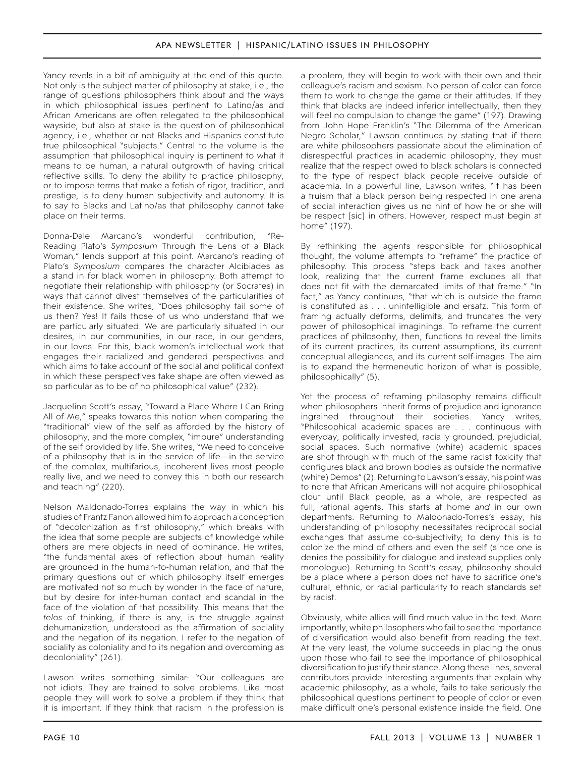Yancy revels in a bit of ambiguity at the end of this quote. Not only is the subject matter of philosophy at stake, i.e., the range of questions philosophers think about and the ways in which philosophical issues pertinent to Latino/as and African Americans are often relegated to the philosophical wayside, but also at stake is the question of philosophical agency, i.e., whether or not Blacks and Hispanics constitute true philosophical "subjects." Central to the volume is the assumption that philosophical inquiry is pertinent to what it means to be human, a natural outgrowth of having critical reflective skills. To deny the ability to practice philosophy, or to impose terms that make a fetish of rigor, tradition, and prestige, is to deny human subjectivity and autonomy. It is to say to Blacks and Latino/as that philosophy cannot take place on their terms.

Donna-Dale Marcano's wonderful contribution, "Re-Reading Plato's *Symposium* Through the Lens of a Black Woman," lends support at this point. Marcano's reading of Plato's *Symposium* compares the character Alcibiades as a stand in for black women in philosophy. Both attempt to negotiate their relationship with philosophy (or Socrates) in ways that cannot divest themselves of the particularities of their existence. She writes, "Does philosophy fail some of us then? Yes! It fails those of us who understand that we are particularly situated. We are particularly situated in our desires, in our communities, in our race, in our genders, in our loves. For this, black women's intellectual work that engages their racialized and gendered perspectives and which aims to take account of the social and political context in which these perspectives take shape are often viewed as so particular as to be of no philosophical value" (232).

Jacqueline Scott's essay, "Toward a Place Where I Can Bring All of Me," speaks towards this notion when comparing the "traditional" view of the self as afforded by the history of philosophy, and the more complex, "impure" understanding of the self provided by life. She writes, "We need to conceive of a philosophy that is in the service of life—in the service of the complex, multifarious, incoherent lives most people really live, and we need to convey this in both our research and teaching" (220).

Nelson Maldonado-Torres explains the way in which his studies of Frantz Fanon allowed him to approach a conception of "decolonization as first philosophy," which breaks with the idea that some people are subjects of knowledge while others are mere objects in need of dominance. He writes, "the fundamental axes of reflection about human reality are grounded in the human-to-human relation, and that the primary questions out of which philosophy itself emerges are motivated not so much by wonder in the face of nature, but by desire for inter-human contact and scandal in the face of the violation of that possibility. This means that the *telos* of thinking, if there is any, is the struggle against dehumanization, understood as the affirmation of sociality and the negation of its negation. I refer to the negation of sociality as coloniality and to its negation and overcoming as decoloniality" (261).

Lawson writes something similar: "Our colleagues are not idiots. They are trained to solve problems. Like most people they will work to solve a problem if they think that it is important. If they think that racism in the profession is

a problem, they will begin to work with their own and their colleague's racism and sexism. No person of color can force them to work to change the game or their attitudes. If they think that blacks are indeed inferior intellectually, then they will feel no compulsion to change the game" (197). Drawing from John Hope Franklin's "The Dilemma of the American Negro Scholar," Lawson continues by stating that if there are white philosophers passionate about the elimination of disrespectful practices in academic philosophy, they must realize that the respect owed to black scholars is connected to the type of respect black people receive outside of academia. In a powerful line, Lawson writes, "It has been a truism that a black person being respected in one arena of social interaction gives us no hint of how he or she will be respect [sic] in others. However, respect must begin at home" (197).

By rethinking the agents responsible for philosophical thought, the volume attempts to "reframe" the practice of philosophy. This process "steps back and takes another look, realizing that the current frame excludes all that does not fit with the demarcated limits of that frame." "In fact," as Yancy continues, "that which is outside the frame is constituted as . . . unintelligible and ersatz. This form of framing actually deforms, delimits, and truncates the very power of philosophical imaginings. To reframe the current practices of philosophy, then, functions to reveal the limits of its current practices, its current assumptions, its current conceptual allegiances, and its current self-images. The aim is to expand the hermeneutic horizon of what is possible, philosophically" (5).

Yet the process of reframing philosophy remains difficult when philosophers inherit forms of prejudice and ignorance ingrained throughout their societies. Yancy writes, "Philosophical academic spaces are . . . continuous with everyday, politically invested, racially grounded, prejudicial, social spaces. Such normative (white) academic spaces are shot through with much of the same racist toxicity that configures black and brown bodies as outside the normative (white) Demos" (2). Returning to Lawson's essay, his point was to note that African Americans will not acquire philosophical clout until Black people, as a whole, are respected as full, rational agents. This starts at home *and* in our own departments. Returning to Maldonado-Torres's essay, his understanding of philosophy necessitates reciprocal social exchanges that assume co-subjectivity; to deny this is to colonize the mind of others and even the self (since one is denies the possibility for dialogue and instead supplies only monologue). Returning to Scott's essay, philosophy should be a place where a person does not have to sacrifice one's cultural, ethnic, or racial particularity to reach standards set by racist.

Obviously, white allies will find much value in the text. More importantly, white philosophers who fail to see the importance of diversification would also benefit from reading the text. At the very least, the volume succeeds in placing the onus upon those who fail to see the importance of philosophical diversification to justify their stance. Along these lines, several contributors provide interesting arguments that explain why academic philosophy, as a whole, fails to take seriously the philosophical questions pertinent to people of color or even make difficult one's personal existence inside the field. One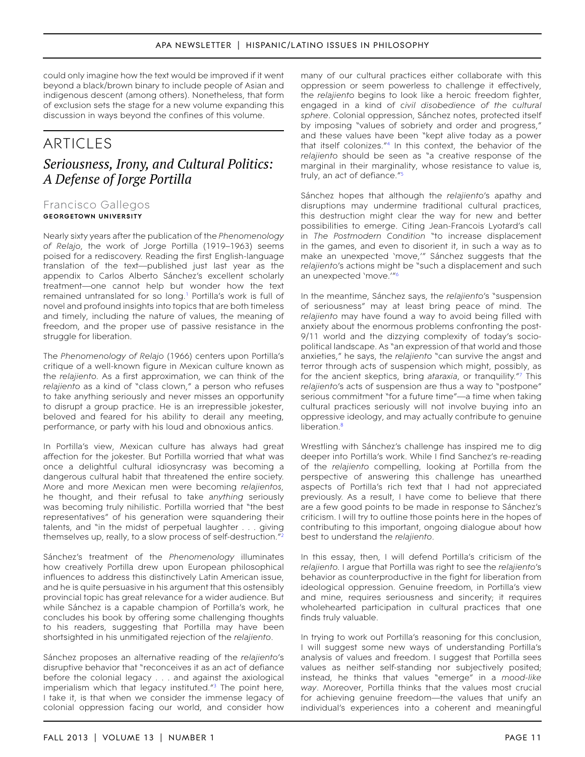could only imagine how the text would be improved if it went beyond a black/brown binary to include people of Asian and indigenous descent (among others). Nonetheless, that form of exclusion sets the stage for a new volume expanding this discussion in ways beyond the confines of this volume.

# ARTICI FS *Seriousness, Irony, and Cultural Politics: A Defense of Jorge Portilla*

# Francisco Gallegos **georgetown university**

Nearly sixty years after the publication of the *Phenomenology of Relajo*, the work of Jorge Portilla (1919–1963) seems poised for a rediscovery. Reading the first English-language translation of the text—published just last year as the appendix to Carlos Alberto Sánchez's excellent scholarly treatment—one cannot help but wonder how the text remained untranslated for so long.<sup>1</sup> Portilla's work is full of novel and profound insights into topics that are both timeless and timely, including the nature of values, the meaning of freedom, and the proper use of passive resistance in the struggle for liberation.

The *Phenomenology of Relajo* (1966) centers upon Portilla's critique of a well-known figure in Mexican culture known as the *relajiento.* As a first approximation, we can think of the *relajiento* as a kind of "class clown," a person who refuses to take anything seriously and never misses an opportunity to disrupt a group practice. He is an irrepressible jokester, beloved and feared for his ability to derail any meeting, performance, or party with his loud and obnoxious antics.

In Portilla's view, Mexican culture has always had great affection for the jokester. But Portilla worried that what was once a delightful cultural idiosyncrasy was becoming a dangerous cultural habit that threatened the entire society. More and more Mexican men were becoming *relajientos,* he thought, and their refusal to take *anything* seriously was becoming truly nihilistic. Portilla worried that "the best representatives" of his generation were squandering their talents, and "in the midst of perpetual laughter . . . giving themselves up, really, to a slow process of self-destruction.["2](#page-17-1)

Sánchez's treatment of the *Phenomenology* illuminates how creatively Portilla drew upon European philosophical influences to address this distinctively Latin American issue, and he is quite persuasive in his argument that this ostensibly provincial topic has great relevance for a wider audience. But while Sánchez is a capable champion of Portilla's work, he concludes his book by offering some challenging thoughts to his readers, suggesting that Portilla may have been shortsighted in his unmitigated rejection of the *relajiento*.

Sánchez proposes an alternative reading of the *relajiento*'s disruptive behavior that "reconceives it as an act of defiance before the colonial legacy . . . and against the axiological imperialism which that legacy instituted."<sup>[3](#page-17-2)</sup> The point here, I take it, is that when we consider the immense legacy of colonial oppression facing our world, and consider how

many of our cultural practices either collaborate with this oppression or seem powerless to challenge it effectively, the *relajiento* begins to look like a heroic freedom fighter, engaged in a kind of *civil disobedience of the cultural sphere*. Colonial oppression, Sánchez notes, protected itself by imposing "values of sobriety and order and progress," and these values have been "kept alive today as a power that itself colonizes.["4](#page-17-3) In this context, the behavior of the *relajiento* should be seen as "a creative response of the marginal in their marginality, whose resistance to value is, truly, an act of defiance."[5](#page-17-4)

Sánchez hopes that although the *relajiento*'s apathy and disruptions may undermine traditional cultural practices, this destruction might clear the way for new and better possibilities to emerge. Citing Jean-Francois Lyotard's call in *The Postmodern Condition* "to increase displacement in the games, and even to disorient it, in such a way as to make an unexpected 'move,'" Sánchez suggests that the *relajiento*'s actions might be "such a displacement and such an unexpected 'move.'["6](#page-17-5)

In the meantime, Sánchez says, the *relajiento*'s "suspension of seriousness" may at least bring peace of mind. The *relajiento* may have found a way to avoid being filled with anxiety about the enormous problems confronting the post-9/11 world and the dizzying complexity of today's sociopolitical landscape. As "an expression of that world and those anxieties," he says, the *relajiento* "can survive the angst and terror through acts of suspension which might, possibly, as for the ancient skeptics, bring *ataraxia*, or tranquility."[7](#page-17-6) This *relajiento*'s acts of suspension are thus a way to "postpone" serious commitment "for a future time"—a time when taking cultural practices seriously will not involve buying into an oppressive ideology, and may actually contribute to genuine liberation.<sup>[8](#page-17-7)</sup>

Wrestling with Sánchez's challenge has inspired me to dig deeper into Portilla's work. While I find Sanchez's re-reading of the *relajiento* compelling, looking at Portilla from the perspective of answering this challenge has unearthed aspects of Portilla's rich text that I had not appreciated previously. As a result, I have come to believe that there are a few good points to be made in response to Sánchez's criticism. I will try to outline those points here in the hopes of contributing to this important, ongoing dialogue about how best to understand the *relajiento*.

In this essay, then, I will defend Portilla's criticism of the *relajiento.* I argue that Portilla was right to see the *relajiento*'s behavior as counterproductive in the fight for liberation from ideological oppression. Genuine freedom, in Portilla's view and mine, requires seriousness and sincerity; it requires wholehearted participation in cultural practices that one finds truly valuable.

In trying to work out Portilla's reasoning for this conclusion, I will suggest some new ways of understanding Portilla's analysis of values and freedom. I suggest that Portilla sees values as neither self-standing nor subjectively posited; instead, he thinks that values "emerge" in a *mood-like way*. Moreover, Portilla thinks that the values most crucial for achieving genuine freedom—the values that unify an individual's experiences into a coherent and meaningful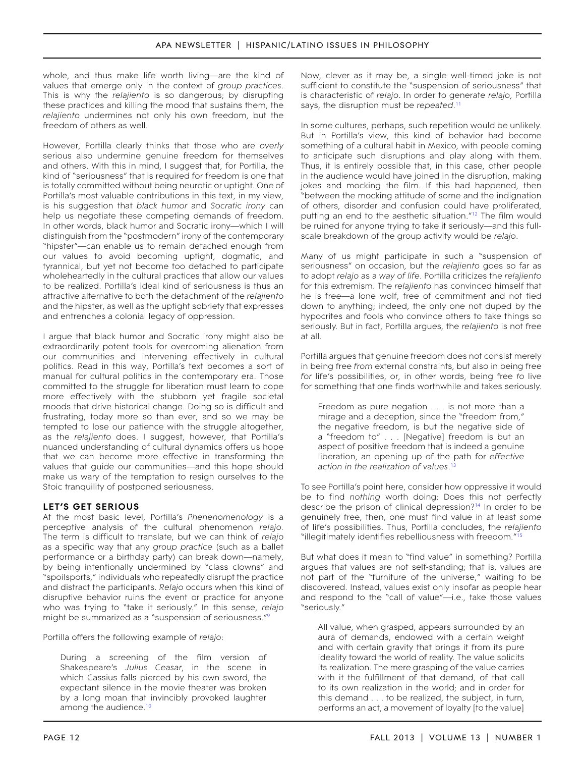whole, and thus make life worth living—are the kind of values that emerge only in the context of *group practices*. This is why the *relajiento* is so dangerous; by disrupting these practices and killing the mood that sustains them, the *relajiento* undermines not only his own freedom, but the freedom of others as well.

However, Portilla clearly thinks that those who are *overly* serious also undermine genuine freedom for themselves and others. With this in mind, I suggest that, for Portilla, the kind of "seriousness" that is required for freedom is one that is totally committed without being neurotic or uptight. One of Portilla's most valuable contributions in this text, in my view, is his suggestion that *black humor* and *Socratic irony* can help us negotiate these competing demands of freedom. In other words, black humor and Socratic irony—which I will distinguish from the "postmodern" irony of the contemporary "hipster"—can enable us to remain detached enough from our values to avoid becoming uptight, dogmatic, and tyrannical, but yet not become too detached to participate wholeheartedly in the cultural practices that allow our values to be realized. Portilla's ideal kind of seriousness is thus an attractive alternative to both the detachment of the *relajiento*  and the hipster, as well as the uptight sobriety that expresses and entrenches a colonial legacy of oppression.

I argue that black humor and Socratic irony might also be extraordinarily potent tools for overcoming alienation from our communities and intervening effectively in cultural politics. Read in this way, Portilla's text becomes a sort of manual for cultural politics in the contemporary era. Those committed to the struggle for liberation must learn to cope more effectively with the stubborn yet fragile societal moods that drive historical change. Doing so is difficult and frustrating, today more so than ever, and so we may be tempted to lose our patience with the struggle altogether, as the *relajiento* does. I suggest, however, that Portilla's nuanced understanding of cultural dynamics offers us hope that we can become more effective in transforming the values that guide our communities—and this hope should make us wary of the temptation to resign ourselves to the Stoic tranquility of postponed seriousness.

# **Let's Get Serious**

At the most basic level, Portilla's *Phenenomenology* is a perceptive analysis of the cultural phenomenon *relajo.* The term is difficult to translate, but we can think of *relajo* as a specific way that any *group practice* (such as a ballet performance or a birthday party) can break down—namely, by being intentionally undermined by "class clowns" and "spoilsports," individuals who repeatedly disrupt the practice and distract the participants. *Relajo* occurs when this kind of disruptive behavior ruins the event or practice for anyone who was trying to "take it seriously." In this sense, *relajo*  might be summarized as a "suspension of seriousness."[9](#page-17-8)

Portilla offers the following example of *relajo*:

During a screening of the film version of Shakespeare's *Julius Ceasar*, in the scene in which Cassius falls pierced by his own sword, the expectant silence in the movie theater was broken by a long moan that invincibly provoked laughter among the audience.<sup>10</sup>

Now, clever as it may be, a single well-timed joke is not sufficient to constitute the "suspension of seriousness" that is characteristic of *relajo*. In order to generate *relajo*, Portilla says, the disruption must be *repeated*. [11](#page-17-10)

In some cultures, perhaps, such repetition would be unlikely. But in Portilla's view, this kind of behavior had become something of a cultural habit in Mexico, with people coming to anticipate such disruptions and play along with them. Thus, it is entirely possible that, in this case, other people in the audience would have joined in the disruption, making jokes and mocking the film. If this had happened, then "between the mocking attitude of some and the indignation of others, disorder and confusion could have proliferated, putting an end to the aesthetic situation."<sup>12</sup> The film would be ruined for anyone trying to take it seriously—and this fullscale breakdown of the group activity would be *relajo*.

Many of us might participate in such a "suspension of seriousness" on occasion, but the *relajiento* goes so far as to adopt *relajo* as a *way of life*. Portilla criticizes the *relajiento*  for this extremism. The *relajiento* has convinced himself that he is free—a lone wolf, free of commitment and not tied down to anything; indeed, the only one not duped by the hypocrites and fools who convince others to take things so seriously. But in fact, Portilla argues, the *relajiento* is not free at all.

Portilla argues that genuine freedom does not consist merely in being free *from* external constraints, but also in being free *for* life's possibilities, or, in other words, being free *to* live for something that one finds worthwhile and takes seriously.

Freedom as pure negation . . . is not more than a mirage and a deception, since the "freedom from," the negative freedom, is but the negative side of a "freedom to" . . . [Negative] freedom is but an aspect of positive freedom that is indeed a genuine liberation, an opening up of the path for *effective action in the realization of values*. [13](#page-17-12)

To see Portilla's point here, consider how oppressive it would be to find *nothing* worth doing: Does this not perfectly describe the prison of clinical depression[?14](#page-17-13) In order to be genuinely free, then, one must find value in at least *some*  of life's possibilities. Thus, Portilla concludes, the *relajiento*  "illegitimately identifies rebelliousness with freedom.["15](#page-17-14)

But what does it mean to "find value" in something? Portilla argues that values are not self-standing; that is, values are not part of the "furniture of the universe," waiting to be discovered. Instead, values exist only insofar as people hear and respond to the "call of value"—i.e., take those values "seriously."

All value, when grasped, appears surrounded by an aura of demands, endowed with a certain weight and with certain gravity that brings it from its pure ideality toward the world of reality. The value solicits its realization. The mere grasping of the value carries with it the fulfillment of that demand, of that call to its own realization in the world; and in order for this demand . . . to be realized, the subject, in turn, performs an act, a movement of loyalty [to the value]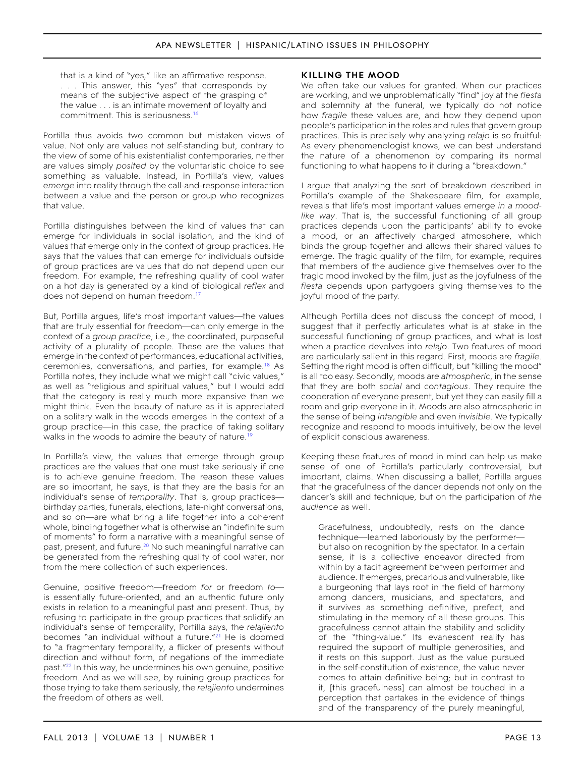that is a kind of "yes," like an affirmative response. . . . This answer, this "yes" that corresponds by means of the subjective aspect of the grasping of the value . . . is an intimate movement of loyalty and commitment. This is seriousness.[16](#page-17-15)

Portilla thus avoids two common but mistaken views of value. Not only are values not self-standing but, contrary to the view of some of his existentialist contemporaries, neither are values simply *posited* by the voluntaristic choice to see something as valuable. Instead, in Portilla's view, values *emerge* into reality through the call-and-response interaction between a value and the person or group who recognizes that value.

Portilla distinguishes between the kind of values that can emerge for individuals in social isolation, and the kind of values that emerge only in the context of group practices. He says that the values that can emerge for individuals outside of group practices are values that do not depend upon our freedom. For example, the refreshing quality of cool water on a hot day is generated by a kind of biological *reflex* and does not depend on human freedom.<sup>17</sup>

But, Portilla argues, life's most important values—the values that are truly essential for freedom—can only emerge in the context of a *group practice*, i.e., the coordinated, purposeful activity of a plurality of people. These are the values that emerge in the context of performances, educational activities, ceremonies, conversations, and parties, for example.[18](#page-17-17) As Portilla notes, they include what we might call "civic values," as well as "religious and spiritual values," but I would add that the category is really much more expansive than we might think. Even the beauty of nature as it is appreciated on a solitary walk in the woods emerges in the context of a group practice—in this case, the practice of taking solitary walks in the woods to admire the beauty of nature.<sup>[19](#page-17-18)</sup>

In Portilla's view, the values that emerge through group practices are the values that one must take seriously if one is to achieve genuine freedom. The reason these values are so important, he says, is that they are the basis for an individual's sense of *temporality*. That is, group practices birthday parties, funerals, elections, late-night conversations, and so on—are what bring a life together into a coherent whole, binding together what is otherwise an "indefinite sum of moments" to form a narrative with a meaningful sense of past, present, and future.<sup>20</sup> No such meaningful narrative can be generated from the refreshing quality of cool water, nor from the mere collection of such experiences.

Genuine, positive freedom—freedom *for* or freedom *to* is essentially future-oriented, and an authentic future only exists in relation to a meaningful past and present. Thus, by refusing to participate in the group practices that solidify an individual's sense of temporality, Portilla says, the *relajiento*  becomes "an individual without a future."<sup>21</sup> He is doomed to "a fragmentary temporality, a flicker of presents without direction and without form, of negations of the immediate past.["22](#page-18-1) In this way, he undermines his own genuine, positive freedom. And as we will see, by ruining group practices for those trying to take them seriously, the *relajiento* undermines the freedom of others as well.

### **Killing the mood**

We often take our values for granted. When our practices are working, and we unproblematically "find" joy at the *fiesta*  and solemnity at the funeral, we typically do not notice how *fragile* these values are, and how they depend upon people's participation in the roles and rules that govern group practices. This is precisely why analyzing *relajo* is so fruitful: As every phenomenologist knows, we can best understand the nature of a phenomenon by comparing its normal functioning to what happens to it during a "breakdown."

I argue that analyzing the sort of breakdown described in Portilla's example of the Shakespeare film, for example, reveals that life's most important values emerge *in a moodlike way*. That is, the successful functioning of all group practices depends upon the participants' ability to evoke a mood, or an affectively charged atmosphere, which binds the group together and allows their shared values to emerge. The tragic quality of the film, for example, requires that members of the audience give themselves over to the tragic mood invoked by the film, just as the joyfulness of the *fiesta* depends upon partygoers giving themselves to the joyful mood of the party.

Although Portilla does not discuss the concept of mood, I suggest that it perfectly articulates what is at stake in the successful functioning of group practices, and what is lost when a practice devolves into *relajo*. Two features of mood are particularly salient in this regard. First, moods are *fragile*. Setting the right mood is often difficult, but "killing the mood" is all too easy. Secondly, moods are *atmospheric*, in the sense that they are both *social* and *contagious*. They require the cooperation of everyone present, but yet they can easily fill a room and grip everyone in it. Moods are also atmospheric in the sense of being *intangible* and even *invisible*. We typically recognize and respond to moods intuitively, below the level of explicit conscious awareness.

Keeping these features of mood in mind can help us make sense of one of Portilla's particularly controversial, but important, claims. When discussing a ballet, Portilla argues that the gracefulness of the dancer depends not only on the dancer's skill and technique, but on the participation of *the audience* as well.

Gracefulness, undoubtedly, rests on the dance technique—learned laboriously by the performer but also on recognition by the spectator. In a certain sense, it is a collective endeavor directed from within by a tacit agreement between performer and audience. It emerges, precarious and vulnerable, like a burgeoning that lays root in the field of harmony among dancers, musicians, and spectators, and it survives as something definitive, prefect, and stimulating in the memory of all these groups. This gracefulness cannot attain the stability and solidity of the "thing-value." Its evanescent reality has required the support of multiple generosities, and it rests on this support. Just as the value pursued in the self-constitution of existence, the value never comes to attain definitive being; but in contrast to it, [this gracefulness] can almost be touched in a perception that partakes in the evidence of things and of the transparency of the purely meaningful,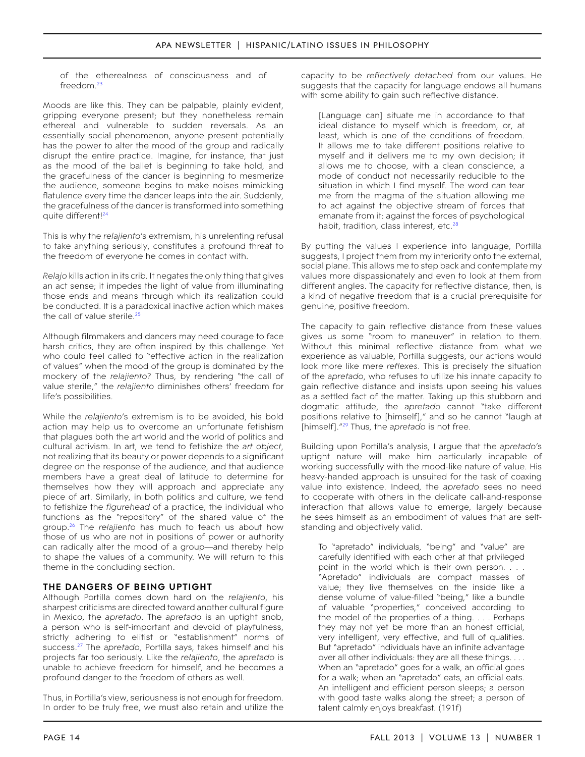of the etherealness of consciousness and of freedom[.23](#page-18-2)

Moods are like this. They can be palpable, plainly evident, gripping everyone present; but they nonetheless remain ethereal and vulnerable to sudden reversals. As an essentially social phenomenon, anyone present potentially has the power to alter the mood of the group and radically disrupt the entire practice. Imagine, for instance, that just as the mood of the ballet is beginning to take hold, and the gracefulness of the dancer is beginning to mesmerize the audience, someone begins to make noises mimicking flatulence every time the dancer leaps into the air. Suddenly, the gracefulness of the dancer is transformed into something quite different!<sup>24</sup>

This is why the *relajiento*'s extremism, his unrelenting refusal to take anything seriously, constitutes a profound threat to the freedom of everyone he comes in contact with.

*Relajo* kills action in its crib. It negates the only thing that gives an act sense; it impedes the light of value from illuminating those ends and means through which its realization could be conducted. It is a paradoxical inactive action which makes the call of value sterile.<sup>25</sup>

Although filmmakers and dancers may need courage to face harsh critics, they are often inspired by this challenge. Yet who could feel called to "effective action in the realization of values" when the mood of the group is dominated by the mockery of the *relajiento*? Thus, by rendering "the call of value sterile," the *relajiento* diminishes others' freedom for life's possibilities.

While the *relajiento*'s extremism is to be avoided, his bold action may help us to overcome an unfortunate fetishism that plagues both the art world and the world of politics and cultural activism. In art, we tend to fetishize the *art object*, not realizing that its beauty or power depends to a significant degree on the response of the audience, and that audience members have a great deal of latitude to determine for themselves how they will approach and appreciate any piece of art. Similarly, in both politics and culture, we tend to fetishize the *figurehead* of a practice, the individual who functions as the "repository" of the shared value of the group.[26](#page-18-5) The *relajiento* has much to teach us about how those of us who are not in positions of power or authority can radically alter the mood of a group—and thereby help to shape the values of a community. We will return to this theme in the concluding section.

# **The dangers of being uptight**

Although Portilla comes down hard on the *relajiento*, his sharpest criticisms are directed toward another cultural figure in Mexico, the *apretado*. The *apretado* is an uptight snob, a person who is self-important and devoid of playfulness, strictly adhering to elitist or "establishment" norms of success.[27](#page-18-6) The *apretado*, Portilla says, takes himself and his projects far too seriously. Like the *relajiento*, the *apretado* is unable to achieve freedom for himself, and he becomes a profound danger to the freedom of others as well.

Thus, in Portilla's view, seriousness is not enough for freedom. In order to be truly free, we must also retain and utilize the

capacity to be *reflectively detached* from our values. He suggests that the capacity for language endows all humans with some ability to gain such reflective distance.

[Language can] situate me in accordance to that ideal distance to myself which is freedom, or, at least, which is one of the conditions of freedom. It allows me to take different positions relative to myself and it delivers me to my own decision; it allows me to choose, with a clean conscience, a mode of conduct not necessarily reducible to the situation in which I find myself. The word can tear me from the magma of the situation allowing me to act against the objective stream of forces that emanate from it: against the forces of psychological habit, tradition, class interest, etc.<sup>[28](#page-18-7)</sup>

By putting the values I experience into language, Portilla suggests, I project them from my interiority onto the external, social plane. This allows me to step back and contemplate my values more dispassionately and even to look at them from different angles. The capacity for reflective distance, then, is a kind of negative freedom that is a crucial prerequisite for genuine, positive freedom.

The capacity to gain reflective distance from these values gives us some "room to maneuver" in relation to them. Without this minimal reflective distance from what we experience as valuable, Portilla suggests, our actions would look more like mere *reflexes*. This is precisely the situation of the *apretado*, who refuses to utilize his innate capacity to gain reflective distance and insists upon seeing his values as a settled fact of the matter. Taking up this stubborn and dogmatic attitude, the *apretado* cannot "take different positions relative to [himself]," and so he cannot "laugh at [himself]."[29](#page-18-8) Thus, the *apretado* is not free.

Building upon Portilla's analysis, I argue that the *apretado*'s uptight nature will make him particularly incapable of working successfully with the mood-like nature of value. His heavy-handed approach is unsuited for the task of coaxing value into existence. Indeed, the *apretado* sees no need to cooperate with others in the delicate call-and-response interaction that allows value to emerge, largely because he sees himself as an embodiment of values that are selfstanding and objectively valid.

To "apretado" individuals, "being" and "value" are carefully identified with each other at that privileged point in the world which is their own person. . . . "Apretado" individuals are compact masses of value; they live themselves on the inside like a dense volume of value-filled "being," like a bundle of valuable "properties," conceived according to the model of the properties of a thing. . . . Perhaps they may not yet be more than an honest official, very intelligent, very effective, and full of qualities. But "apretado" individuals have an infinite advantage over all other individuals: they *are* all these things. . . . When an "apretado" goes for a walk, an official goes for a walk; when an "apretado" eats, an official eats. An intelligent and efficient person sleeps; a person with good taste walks along the street; a person of talent calmly enjoys breakfast. (191f)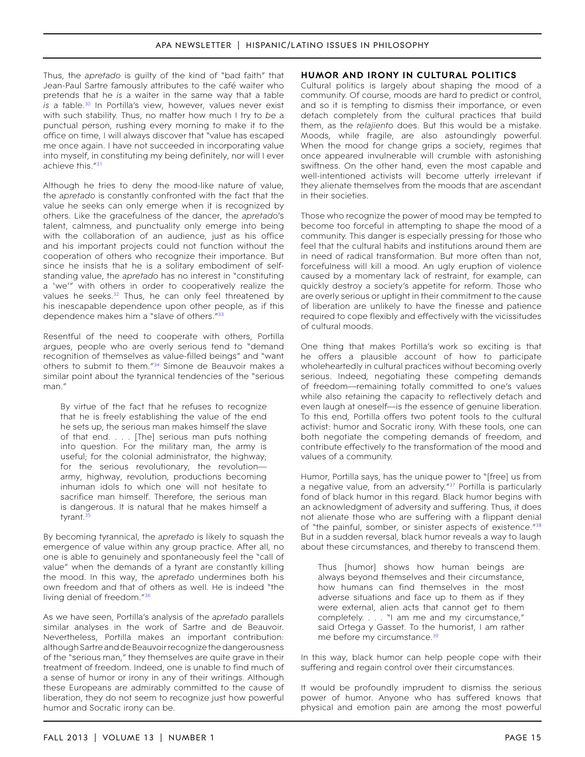Thus, the *apretado* is guilty of the kind of "bad faith" that Jean-Paul Sartre famously attributes to the café waiter who pretends that he *is* a waiter in the same way that a table is a table.<sup>30</sup> In Portilla's view, however, values never exist with such stability. Thus, no matter how much I try to *be* a punctual person, rushing every morning to make it to the office on time, I will always discover that "value has escaped me once again. I have not succeeded in incorporating value into myself, in constituting my being definitely, nor will I ever achieve this.<sup>["31](#page-18-10)</sup>

Although he tries to deny the mood-like nature of value, the *apretado* is constantly confronted with the fact that the value he seeks can only emerge when it is recognized by others. Like the gracefulness of the dancer, the *apretado*'s talent, calmness, and punctuality only emerge into being with the collaboration of an audience, just as his office and his important projects could not function without the cooperation of others who recognize their importance. But since he insists that he is a solitary embodiment of selfstanding value, the *apretado* has no interest in "constituting a 'we'" with others in order to cooperatively realize the values he seeks.<sup>[32](#page-18-11)</sup> Thus, he can only feel threatened by his inescapable dependence upon other people, as if this dependence makes him a "slave of others."<sup>33</sup>

Resentful of the need to cooperate with others, Portilla argues, people who are overly serious tend to "demand recognition of themselves as value-filled beings" and "want others to submit to them.["34](#page-18-13) Simone de Beauvoir makes a similar point about the tyrannical tendencies of the "serious man."

By virtue of the fact that he refuses to recognize that he is freely establishing the value of the end he sets up, the serious man makes himself the slave of that end. . . . [The] serious man puts nothing into question. For the military man, the army is useful; for the colonial administrator, the highway; for the serious revolutionary, the revolution army, highway, revolution, productions becoming inhuman idols to which one will not hesitate to sacrifice man himself. Therefore, the serious man is dangerous. It is natural that he makes himself a tyrant.<sup>35</sup>

By becoming tyrannical, the *apretado* is likely to squash the emergence of value within any group practice. After all, no one is able to genuinely and spontaneously feel the "call of value" when the demands of a tyrant are constantly killing the mood. In this way, the *apretado* undermines both his own freedom and that of others as well. He is indeed "the living denial of freedom.["36](#page-18-15)

As we have seen, Portilla's analysis of the *apretado* parallels similar analyses in the work of Sartre and de Beauvoir. Nevertheless, Portilla makes an important contribution: although Sartre and de Beauvoir recognize the dangerousness of the "serious man," they themselves are quite grave in their treatment of freedom. Indeed, one is unable to find much of a sense of humor or irony in any of their writings. Although these Europeans are admirably committed to the cause of liberation, they do not seem to recognize just how powerful humor and Socratic irony can be.

# **Humor and irony in cultural politics**

Cultural politics is largely about shaping the mood of a community. Of course, moods are hard to predict or control, and so it is tempting to dismiss their importance, or even detach completely from the cultural practices that build them, as the *relajiento* does. But this would be a mistake. Moods, while fragile, are also astoundingly powerful. When the mood for change grips a society, regimes that once appeared invulnerable will crumble with astonishing swiftness. On the other hand, even the most capable and well-intentioned activists will become utterly irrelevant if they alienate themselves from the moods that are ascendant in their societies.

Those who recognize the power of mood may be tempted to become too forceful in attempting to shape the mood of a community. This danger is especially pressing for those who feel that the cultural habits and institutions around them are in need of radical transformation. But more often than not, forcefulness will kill a mood. An ugly eruption of violence caused by a momentary lack of restraint, for example, can quickly destroy a society's appetite for reform. Those who are overly serious or uptight in their commitment to the cause of liberation are unlikely to have the finesse and patience required to cope flexibly and effectively with the vicissitudes of cultural moods.

One thing that makes Portilla's work so exciting is that he offers a plausible account of how to participate wholeheartedly in cultural practices without becoming overly serious. Indeed, negotiating these competing demands of freedom—remaining totally committed to one's values while also retaining the capacity to reflectively detach and even laugh at oneself—is the essence of genuine liberation. To this end, Portilla offers two potent tools to the cultural activist: humor and Socratic irony. With these tools, one can both negotiate the competing demands of freedom, and contribute effectively to the transformation of the mood and values of a community.

Humor, Portilla says, has the unique power to "[free] us from a negative value, from an adversity."[37](#page-18-16) Portilla is particularly fond of black humor in this regard. Black humor begins with an acknowledgment of adversity and suffering. Thus, it does not alienate those who are suffering with a flippant denial of "the painful, somber, or sinister aspects of existence."[38](#page-18-17) But in a sudden reversal, black humor reveals a way to laugh about these circumstances, and thereby to transcend them.

Thus [humor] shows how human beings are always beyond themselves and their circumstance, how humans can find themselves in the most adverse situations and face up to them as if they were external, alien acts that cannot get to them completely. . . . "I am me and my circumstance," said Ortega y Gasset. To the humorist, I am rather me before my circumstance.<sup>39</sup>

In this way, black humor can help people cope with their suffering and regain control over their circumstances.

It would be profoundly imprudent to dismiss the serious power of humor. Anyone who has suffered knows that physical and emotion pain are among the most powerful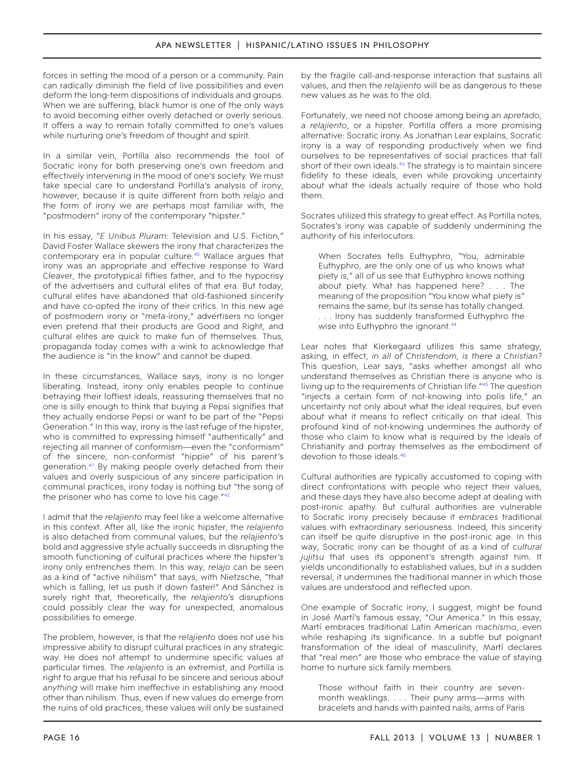forces in setting the mood of a person or a community. Pain can radically diminish the field of live possibilities and even deform the long-term dispositions of individuals and groups. When we are suffering, black humor is one of the only ways to avoid becoming either overly detached or overly serious. It offers a way to remain totally committed to one's values while nurturing one's freedom of thought and spirit.

In a similar vein, Portilla also recommends the tool of Socratic irony for both preserving one's own freedom and effectively intervening in the mood of one's society. We must take special care to understand Portilla's analysis of irony, however, because it is quite different from both *relajo* and the form of irony we are perhaps most familiar with, the "postmodern" irony of the contemporary "hipster."

In his essay, "*E Unibus Pluram*: Television and U.S. Fiction," David Foster Wallace skewers the irony that characterizes the contemporary era in popular culture.<sup>40</sup> Wallace argues that irony was an appropriate and effective response to Ward Cleaver, the prototypical fifties father, and to the hypocrisy of the advertisers and cultural elites of that era. But today, cultural elites have abandoned that old-fashioned sincerity and have co-opted the irony of their critics. In this new age of postmodern irony or "meta-irony," advertisers no longer even pretend that their products are Good and Right, and cultural elites are quick to make fun of themselves. Thus, propaganda today comes with a wink to acknowledge that the audience is "in the know" and cannot be duped.

In these circumstances, Wallace says, irony is no longer liberating. Instead, irony only enables people to continue betraying their loftiest ideals, reassuring themselves that no one is silly enough to think that buying a Pepsi signifies that they actually endorse Pepsi or want to be part of the "Pepsi Generation." In this way, irony is the last refuge of the hipster, who is committed to expressing himself "authentically" and rejecting all manner of conformism—even the "conformism" of the sincere, non-conformist "hippie" of his parent's generation.<sup>41</sup> By making people overly detached from their values and overly suspicious of any sincere participation in communal practices, irony today is nothing but "the song of the prisoner who has come to love his cage."[42](#page-18-21)

I admit that the *relajiento* may feel like a welcome alternative in this context. After all, like the ironic hipster, the *relajiento*  is also detached from communal values, but the *relajiento*'s bold and aggressive style actually succeeds in disrupting the smooth functioning of cultural practices where the hipster's irony only entrenches them. In this way, *relajo* can be seen as a kind of "active nihilism" that says, with Nietzsche, "that which is falling, let us push it down faster!" And Sánchez is surely right that, theoretically, the *relajiento*'s disruptions could possibly clear the way for unexpected, anomalous possibilities to emerge.

The problem, however, is that the *relajiento* does not use his impressive ability to disrupt cultural practices in any strategic way. He does not attempt to undermine specific values at particular times. The *relajiento* is an extremist, and Portilla is right to argue that his refusal to be sincere and serious about *anything* will make him ineffective in establishing any mood other than nihilism. Thus, even if new values do emerge from the ruins of old practices, these values will only be sustained

by the fragile call-and-response interaction that sustains all values, and then the *relajiento* will be as dangerous to these new values as he was to the old.

Fortunately, we need not choose among being an *apretado*, a *relajiento*, or a hipster. Portilla offers a more promising alternative: Socratic irony. As Jonathan Lear explains, Socratic irony is a way of responding productively when we find ourselves to be representatives of social practices that fall short of their own ideals.<sup>[43](#page-18-22)</sup> The strategy is to maintain sincere fidelity to these ideals, even while provoking uncertainty about what the ideals actually require of those who hold them.

Socrates utilized this strategy to great effect. As Portilla notes, Socrates's irony was capable of suddenly undermining the authority of his interlocutors.

When Socrates tells Euthyphro, "You, admirable Euthyphro, are the only one of us who knows what piety is," all of us see that Euthyphro knows nothing about piety. What has happened here? . . . The meaning of the proposition "You know what piety is" remains the same, but its sense has totally changed. . . . Irony has suddenly transformed Euthyphro the wise into Euthyphro the ignorant.<sup>44</sup>

Lear notes that Kierkegaard utilizes this same strategy, asking, in effect, *in all of Christendom, is there a Christian?* This question, Lear says, "asks whether amongst all who understand themselves as Christian there is anyone who is living up to the requirements of Christian life.["45](#page-18-24) The question "injects a certain form of not-knowing into polis life," an uncertainty not only about what the ideal requires, but even about what it means to reflect critically on that ideal. This profound kind of not-knowing undermines the authority of those who claim to know what is required by the ideals of Christianity and portray themselves as the embodiment of devotion to those ideals.[46](#page-18-25)

Cultural authorities are typically accustomed to coping with direct confrontations with people who reject their values, and these days they have also become adept at dealing with post-ironic apathy. But cultural authorities are vulnerable to Socratic irony precisely because it *embraces* traditional values with extraordinary seriousness. Indeed, this sincerity can itself be quite disruptive in the post-ironic age. In this way, Socratic irony can be thought of as a kind of *cultural jujitsu* that uses its opponent's strength against him. It yields unconditionally to established values, but in a sudden reversal, it undermines the traditional manner in which those values are understood and reflected upon.

One example of Socratic irony, I suggest, might be found in José Martí's famous essay, "Our America." In this essay, Martí embraces traditional Latin American *machismo*, even while reshaping its significance. In a subtle but poignant transformation of the ideal of masculinity, Martí declares that "real men" are those who embrace the value of staying home to nurture sick family members.

Those without faith in their country are sevenmonth weaklings. . . . Their puny arms—arms with bracelets and hands with painted nails, arms of Paris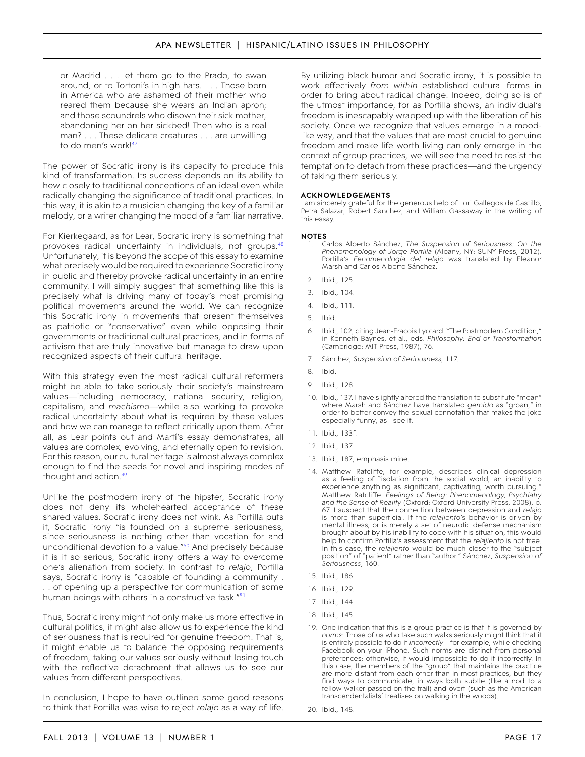or Madrid . . . let them go to the Prado, to swan around, or to Tortoni's in high hats. . . . Those born in America who are ashamed of their mother who reared them because she wears an Indian apron; and those scoundrels who disown their sick mother, abandoning her on her sickbed! Then who is a real man? . . . These delicate creatures . . . are unwilling to do men's work!<sup>[47](#page-18-26)</sup>

The power of Socratic irony is its capacity to produce this kind of transformation. Its success depends on its ability to hew closely to traditional conceptions of an ideal even while radically changing the significance of traditional practices. In this way, it is akin to a musician changing the key of a familiar melody, or a writer changing the mood of a familiar narrative.

For Kierkegaard, as for Lear, Socratic irony is something that provokes radical uncertainty in individuals, not groups.<sup>48</sup> Unfortunately, it is beyond the scope of this essay to examine what precisely would be required to experience Socratic irony in public and thereby provoke radical uncertainty in an entire community. I will simply suggest that something like this is precisely what is driving many of today's most promising political movements around the world. We can recognize this Socratic irony in movements that present themselves as patriotic or "conservative" even while opposing their governments or traditional cultural practices, and in forms of activism that are truly innovative but manage to draw upon recognized aspects of their cultural heritage.

With this strategy even the most radical cultural reformers might be able to take seriously their society's mainstream values—including democracy, national security, religion, capitalism, and *machismo*—while also working to provoke radical uncertainty about what is required by these values and how we can manage to reflect critically upon them. After all, as Lear points out and Martí's essay demonstrates, all values are complex, evolving, and eternally open to revision. For this reason, our cultural heritage is almost always complex enough to find the seeds for novel and inspiring modes of thought and action.<sup>[49](#page-18-28)</sup>

Unlike the postmodern irony of the hipster, Socratic irony does not deny its wholehearted acceptance of these shared values. Socratic irony does not wink. As Portilla puts it, Socratic irony "is founded on a supreme seriousness, since seriousness is nothing other than vocation for and unconditional devotion to a value.["50](#page-18-29) And precisely because it is it so serious, Socratic irony offers a way to overcome one's alienation from society. In contrast to *relajo*, Portilla says, Socratic irony is "capable of founding a community . . . of opening up a perspective for communication of some human beings with others in a constructive task."<sup>[51](#page-18-30)</sup>

Thus, Socratic irony might not only make us more effective in cultural politics, it might also allow us to experience the kind of seriousness that is required for genuine freedom. That is, it might enable us to balance the opposing requirements of freedom, taking our values seriously without losing touch with the reflective detachment that allows us to see our values from different perspectives.

In conclusion, I hope to have outlined some good reasons to think that Portilla was wise to reject *relajo* as a way of life.

By utilizing black humor and Socratic irony, it is possible to work effectively *from within* established cultural forms in order to bring about radical change. Indeed, doing so is of the utmost importance, for as Portilla shows, an individual's freedom is inescapably wrapped up with the liberation of his society. Once we recognize that values emerge in a moodlike way, and that the values that are most crucial to genuine freedom and make life worth living can only emerge in the context of group practices, we will see the need to resist the temptation to detach from these practices—and the urgency of taking them seriously.

#### **acknowledgements**

I am sincerely grateful for the generous help of Lori Gallegos de Castillo, Petra Salazar, Robert Sanchez, and William Gassaway in the writing of this essay.

#### **notes**

- <span id="page-17-0"></span>1. Carlos Alberto Sánchez, *The Suspension of Seriousness: On the Phenomenology of Jorge Portilla* (Albany, NY: SUNY Press, 2012). Portilla's *Fenomenología del relajo* was translated by Eleanor Marsh and Carlos Alberto Sánchez.
- <span id="page-17-1"></span>2. Ibid., 125.
- <span id="page-17-2"></span>3. Ibid., 104.
- <span id="page-17-3"></span>4. Ibid., 111.
- <span id="page-17-4"></span>5. Ibid.
- <span id="page-17-5"></span>6. Ibid., 102, citing Jean-Fracois Lyotard. "The Postmodern Condition," in Kenneth Baynes, et al., eds. *Philosophy: End or Transformation* (Cambridge: MIT Press, 1987), 76.
- <span id="page-17-6"></span>7. Sánchez, *Suspension of Seriousness*, 117.
- <span id="page-17-7"></span>8. Ibid.
- <span id="page-17-8"></span>9. Ibid., 128.
- <span id="page-17-9"></span>10. Ibid., 137. I have slightly altered the translation to substitute "moan" where Marsh and Sánchez have translated *gemido* as "groan," in order to better convey the sexual connotation that makes the joke especially funny, as I see it.
- <span id="page-17-10"></span>11. Ibid., 133f.
- <span id="page-17-11"></span>12. Ibid., 137.
- <span id="page-17-12"></span>13. Ibid., 187, emphasis mine.
- <span id="page-17-13"></span>14. Matthew Ratcliffe, for example, describes clinical depression as a feeling of "isolation from the social world, an inability to experience anything as significant, captivating, worth pursuing." Matthew Ratcliffe. *Feelings of Being: Phenomenology, Psychiatry and the Sense of Reality* (Oxford: Oxford University Press, 2008), p. 67. I suspect that the connection between depression and *relajo*  is more than superficial. If the *relajiento*'s behavior is driven by mental illness, or is merely a set of neurotic defense mechanism brought about by his inability to cope with his situation, this would help to confirm Portilla's assessment that the *relajiento* is not free. In this case, the *relajiento* would be much closer to the "subject position" of "patient" rather than "author." Sánchez, *Suspension of Seriousness*, 160.
- <span id="page-17-14"></span>15. Ibid., 186.
- <span id="page-17-15"></span>16. Ibid., 129.
- <span id="page-17-16"></span>17. Ibid., 144.
- <span id="page-17-17"></span>18. Ibid., 145.
- <span id="page-17-18"></span>19. One indication that this is a group practice is that it is governed by *norms*: Those of us who take such walks seriously might think that it is entirely possible to do it *incorrectly*—for example, while checking Facebook on your iPhone. Such norms are distinct from personal preferences; otherwise, it would impossible to do it incorrectly. In this case, the members of the "group" that maintains the practice are more distant from each other than in most practices, but they find ways to communicate, in ways both subtle (like a nod to a fellow walker passed on the trail) and overt (such as the American transcendentalists' treatises on walking in the woods).
- <span id="page-17-19"></span>20. Ibid., 148.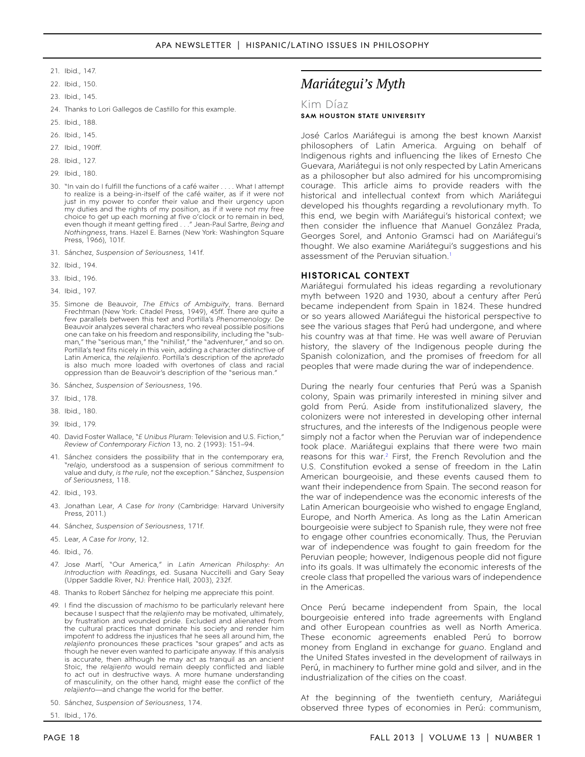- <span id="page-18-0"></span>21. Ibid., 147.
- <span id="page-18-1"></span>22. Ibid., 150.
- <span id="page-18-2"></span>23. Ibid., 145.
- <span id="page-18-3"></span>24. Thanks to Lori Gallegos de Castillo for this example.
- <span id="page-18-4"></span>25. Ibid., 188.
- <span id="page-18-5"></span>26. Ibid., 145.
- <span id="page-18-6"></span>27. Ibid., 190ff.
- <span id="page-18-7"></span>28. Ibid., 127.
- <span id="page-18-8"></span>29. Ibid., 180.
- <span id="page-18-9"></span>30. "In vain do I fulfill the functions of a café waiter . . . . What I attempt to realize is a being-in-itself of the café waiter, as if it were not just in my power to confer their value and their urgency upon my duties and the rights of my position, as if it were not my free choice to get up each morning at five o'clock or to remain in bed, even though it meant getting fired . . ." Jean-Paul Sartre, *Being and Nothingness*, trans. Hazel E. Barnes (New York: Washington Square Press, 1966), 101f.
- <span id="page-18-10"></span>31. Sánchez, *Suspension of Seriousness,* 141f.
- <span id="page-18-11"></span>32. Ibid., 194.
- <span id="page-18-12"></span>33. Ibid., 196.
- <span id="page-18-13"></span>34. Ibid., 197.
- <span id="page-18-14"></span>35. Simone de Beauvoir, *The Ethics of Ambiguity*, trans. Bernard Frechtman (New York: Citadel Press, 1949), 45ff. There are quite a few parallels between this text and Portilla's *Phenomenology.* De Beauvoir analyzes several characters who reveal possible positions one can take on his freedom and responsibility, including the "subman," the "serious man," the "nihilist," the "adventurer," and so on. Portilla's text fits nicely in this vein, adding a character distinctive of Latin America, the *relajiento*. Portilla's description of the *apretado*  is also much more loaded with overtones of class and racial oppression than de Beauvoir's description of the "serious man.
- <span id="page-18-15"></span>36. Sánchez, *Suspension of Seriousness*, 196.
- <span id="page-18-16"></span>37. Ibid., 178.
- <span id="page-18-17"></span>38. Ibid., 180.
- <span id="page-18-18"></span>39. Ibid., 179.
- <span id="page-18-19"></span>40. David Foster Wallace, "*E Unibus Pluram*: Television and U.S. Fiction," *Review of Contemporary Fiction* 13, no. 2 (1993): 151–94.
- <span id="page-18-20"></span>41. Sánchez considers the possibility that in the contemporary era, "*relajo*, understood as a suspension of serious commitment to value and duty, *is the rule*, not the exception." Sánchez, *Suspension of Seriousness*, 118.
- <span id="page-18-21"></span>42. Ibid., 193.
- <span id="page-18-22"></span>43. Jonathan Lear, *A Case for Irony* (Cambridge: Harvard University Press, 2011.)
- <span id="page-18-23"></span>44. Sánchez, *Suspension of Seriousness*, 171f.
- <span id="page-18-24"></span>45. Lear, *A Case for Irony*, 12.
- <span id="page-18-25"></span>46. Ibid., 76.
- <span id="page-18-26"></span>47. Jose Martí, "Our America," in *Latin American Philosphy: An Introduction with Readings*, ed. Susana Nuccitelli and Gary Seay (Upper Saddle River, NJ: Prentice Hall, 2003), 232f.
- <span id="page-18-27"></span>48. Thanks to Robert Sánchez for helping me appreciate this point.
- <span id="page-18-28"></span>49. I find the discussion of *machismo* to be particularly relevant here because I suspect that the *relajiento* may be motivated, ultimately, by frustration and wounded pride. Excluded and alienated from the cultural practices that dominate his society and render him impotent to address the injustices that he sees all around him, the *relajiento* pronounces these practices "sour grapes" and acts as though he never even wanted to participate anyway. If this analysis is accurate, then although he may act as tranquil as an ancient Stoic, the *relajiento* would remain deeply conflicted and liable to act out in destructive ways. A more humane understanding of masculinity, on the other hand, might ease the conflict of the *relajiento*—and change the world for the better.
- <span id="page-18-29"></span>50. Sánchez, *Suspension of Seriousness*, 174.

<span id="page-18-30"></span>51. Ibid., 176.

# *Mariátegui's Myth*

### Kim Díaz **Sam Houston State University**

José Carlos Mariátegui is among the best known Marxist philosophers of Latin America. Arguing on behalf of Indigenous rights and influencing the likes of Ernesto Che Guevara, Mariátegui is not only respected by Latin Americans as a philosopher but also admired for his uncompromising courage. This article aims to provide readers with the historical and intellectual context from which Mariátegui developed his thoughts regarding a revolutionary myth. To this end, we begin with Mariátegui's historical context; we then consider the influence that Manuel González Prada, Georges Sorel, and Antonio Gramsci had on Mariátegui's thought. We also examine Mariátegui's suggestions and his assessment of the Peruvian situation.<sup>1</sup>

## **Historical context**

Mariátegui formulated his ideas regarding a revolutionary myth between 1920 and 1930, about a century after Perú became independent from Spain in 1824. These hundred or so years allowed Mariátegui the historical perspective to see the various stages that Perú had undergone, and where his country was at that time. He was well aware of Peruvian history, the slavery of the Indigenous people during the Spanish colonization, and the promises of freedom for all peoples that were made during the war of independence.

During the nearly four centuries that Perú was a Spanish colony, Spain was primarily interested in mining silver and gold from Perú. Aside from institutionalized slavery, the colonizers were not interested in developing other internal structures, and the interests of the Indigenous people were simply not a factor when the Peruvian war of independence took place. Mariátegui explains that there were two main reasons for this war.<sup>2</sup> First, the French Revolution and the U.S. Constitution evoked a sense of freedom in the Latin American bourgeoisie, and these events caused them to want their independence from Spain. The second reason for the war of independence was the economic interests of the Latin American bourgeoisie who wished to engage England, Europe, and North America. As long as the Latin American bourgeoisie were subject to Spanish rule, they were not free to engage other countries economically. Thus, the Peruvian war of independence was fought to gain freedom for the Peruvian people; however, Indigenous people did not figure into its goals. It was ultimately the economic interests of the creole class that propelled the various wars of independence in the Americas.

Once Perú became independent from Spain, the local bourgeoisie entered into trade agreements with England and other European countries as well as North America. These economic agreements enabled Perú to borrow money from England in exchange for *guano*. England and the United States invested in the development of railways in Perú, in machinery to further mine gold and silver, and in the industrialization of the cities on the coast.

At the beginning of the twentieth century, Mariátegui observed three types of economies in Perú: communism,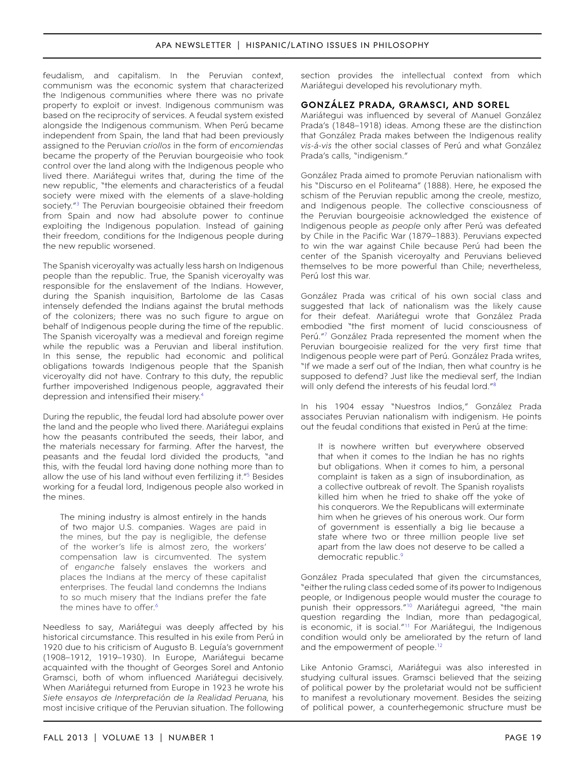feudalism, and capitalism. In the Peruvian context, communism was the economic system that characterized the Indigenous communities where there was no private property to exploit or invest. Indigenous communism was based on the reciprocity of services. A feudal system existed alongside the Indigenous communism. When Perú became independent from Spain, the land that had been previously assigned to the Peruvian *criollos* in the form of *encomiendas* became the property of the Peruvian bourgeoisie who took control over the land along with the Indigenous people who lived there. Mariátegui writes that, during the time of the new republic, "the elements and characteristics of a feudal society were mixed with the elements of a slave-holding society.<sup>["3](#page-22-2)</sup> The Peruvian bourgeoisie obtained their freedom from Spain and now had absolute power to continue exploiting the Indigenous population. Instead of gaining their freedom, conditions for the Indigenous people during the new republic worsened.

The Spanish viceroyalty was actually less harsh on Indigenous people than the republic. True, the Spanish viceroyalty was responsible for the enslavement of the Indians. However, during the Spanish inquisition, Bartolome de las Casas intensely defended the Indians against the brutal methods of the colonizers; there was no such figure to argue on behalf of Indigenous people during the time of the republic. The Spanish viceroyalty was a medieval and foreign regime while the republic was a Peruvian and liberal institution. In this sense, the republic had economic and political obligations towards Indigenous people that the Spanish viceroyalty did not have. Contrary to this duty, the republic further impoverished Indigenous people, aggravated their depression and intensified their misery.<sup>4</sup>

During the republic, the feudal lord had absolute power over the land and the people who lived there. Mariátegui explains how the peasants contributed the seeds, their labor, and the materials necessary for farming. After the harvest, the peasants and the feudal lord divided the products, "and this, with the feudal lord having done nothing more than to allow the use of his land without even fertilizing it."[5](#page-22-4) Besides working for a feudal lord, Indigenous people also worked in the mines.

The mining industry is almost entirely in the hands of two major U.S. companies. Wages are paid in the mines, but the pay is negligible, the defense of the worker's life is almost zero, the workers' compensation law is circumvented. The system of *enganche* falsely enslaves the workers and places the Indians at the mercy of these capitalist enterprises. The feudal land condemns the Indians to so much misery that the Indians prefer the fate the mines have to offer. [6](#page-22-5)

Needless to say, Mariátegui was deeply affected by his historical circumstance. This resulted in his exile from Perú in 1920 due to his criticism of Augusto B. Leguía's government (1908–1912, 1919–1930). In Europe, Mariátegui became acquainted with the thought of Georges Sorel and Antonio Gramsci, both of whom influenced Mariátegui decisively. When Mariátegui returned from Europe in 1923 he wrote his *Siete ensayos de Interpretación de la Realidad Peruana,* his most incisive critique of the Peruvian situation. The following

section provides the intellectual context from which Mariátegui developed his revolutionary myth.

# **González Prada, Gramsci, and Sorel**

Mariátegui was influenced by several of Manuel González Prada's (1848–1918) ideas. Among these are the distinction that González Prada makes between the Indigenous reality *vis-á-vis* the other social classes of Perú and what González Prada's calls, "indigenism."

González Prada aimed to promote Peruvian nationalism with his "Discurso en el Politeama" (1888). Here, he exposed the schism of the Peruvian republic among the creole, mestizo, and Indigenous people. The collective consciousness of the Peruvian bourgeoisie acknowledged the existence of Indigenous people *as people* only after Perú was defeated by Chile in the Pacific War (1879–1883). Peruvians expected to win the war against Chile because Perú had been the center of the Spanish viceroyalty and Peruvians believed themselves to be more powerful than Chile; nevertheless, Perú lost this war.

González Prada was critical of his own social class and suggested that lack of nationalism was the likely cause for their defeat. Mariátegui wrote that González Prada embodied "the first moment of lucid consciousness of Perú."[7](#page-22-6) González Prada represented the moment when the Peruvian bourgeoisie realized for the very first time that Indigenous people were part of Perú. González Prada writes, "If we made a serf out of the Indian, then what country is he supposed to defend? Just like the medieval serf, the Indian will only defend the interests of his feudal lord."<sup>8</sup>

In his 1904 essay "Nuestros Indios," González Prada associates Peruvian nationalism with indigenism. He points out the feudal conditions that existed in Perú at the time:

It is nowhere written but everywhere observed that when it comes to the Indian he has no rights but obligations. When it comes to him, a personal complaint is taken as a sign of insubordination, as a collective outbreak of revolt. The Spanish royalists killed him when he tried to shake off the yoke of his conquerors. We the Republicans will exterminate him when he grieves of his onerous work. Our form of government is essentially a big lie because a state where two or three million people live set apart from the law does not deserve to be called a democratic republic.<sup>9</sup>

González Prada speculated that given the circumstances, "either the ruling class ceded some of its power to Indigenous people, or Indigenous people would muster the courage to punish their oppressors."[10](#page-22-9) Mariátegui agreed, "the main question regarding the Indian, more than pedagogical, is economic, it is social.["11](#page-22-10) For Mariátegui, the Indigenous condition would only be ameliorated by the return of land and the empowerment of people.<sup>12</sup>

Like Antonio Gramsci, Mariátegui was also interested in studying cultural issues. Gramsci believed that the seizing of political power by the proletariat would not be sufficient to manifest a revolutionary movement. Besides the seizing of political power, a counterhegemonic structure must be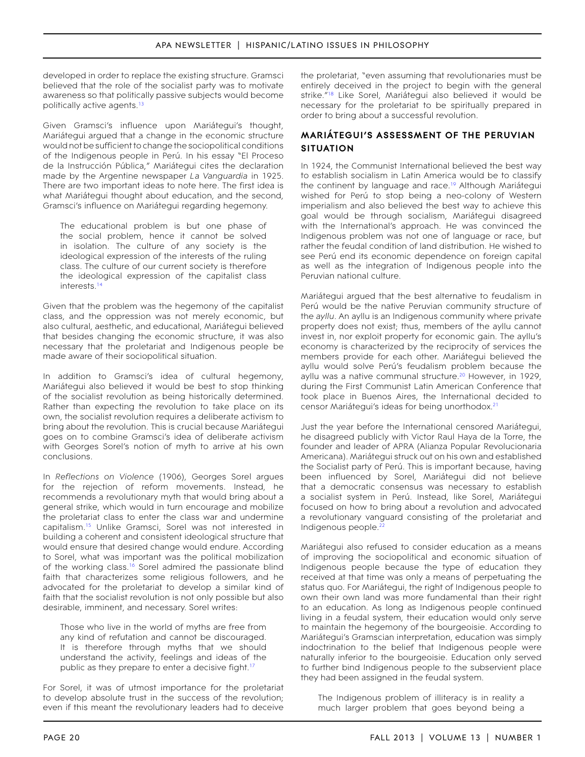developed in order to replace the existing structure. Gramsci believed that the role of the socialist party was to motivate awareness so that politically passive subjects would become politically active agents.<sup>[13](#page-22-12)</sup>

Given Gramsci's influence upon Mariátegui's thought, Mariátegui argued that a change in the economic structure would not be sufficient to change the sociopolitical conditions of the Indigenous people in Perú. In his essay "El Proceso de la Instrucción Pública," Mariátegui cites the declaration made by the Argentine newspaper *La Vanguardia* in 1925. There are two important ideas to note here. The first idea is what Mariátegui thought about education, and the second, Gramsci's influence on Mariátegui regarding hegemony.

The educational problem is but one phase of the social problem, hence it cannot be solved in isolation. The culture of any society is the ideological expression of the interests of the ruling class. The culture of our current society is therefore the ideological expression of the capitalist class interests[.14](#page-22-13)

Given that the problem was the hegemony of the capitalist class, and the oppression was not merely economic, but also cultural, aesthetic, and educational, Mariátegui believed that besides changing the economic structure, it was also necessary that the proletariat and Indigenous people be made aware of their sociopolitical situation.

In addition to Gramsci's idea of cultural hegemony, Mariátegui also believed it would be best to stop thinking of the socialist revolution as being historically determined. Rather than expecting the revolution to take place on its own, the socialist revolution requires a deliberate activism to bring about the revolution. This is crucial because Mariátegui goes on to combine Gramsci's idea of deliberate activism with Georges Sorel's notion of myth to arrive at his own conclusions.

In *Reflections on Violence* (1906), Georges Sorel argues for the rejection of reform movements. Instead, he recommends a revolutionary myth that would bring about a general strike, which would in turn encourage and mobilize the proletariat class to enter the class war and undermine capitalism[.15](#page-22-14) Unlike Gramsci, Sorel was not interested in building a coherent and consistent ideological structure that would ensure that desired change would endure. According to Sorel, what was important was the political mobilization of the working class.<sup>16</sup> Sorel admired the passionate blind faith that characterizes some religious followers, and he advocated for the proletariat to develop a similar kind of faith that the socialist revolution is not only possible but also desirable, imminent, and necessary. Sorel writes:

Those who live in the world of myths are free from any kind of refutation and cannot be discouraged. It is therefore through myths that we should understand the activity, feelings and ideas of the public as they prepare to enter a decisive fight.<sup>[17](#page-22-16)</sup>

For Sorel, it was of utmost importance for the proletariat to develop absolute trust in the success of the revolution; even if this meant the revolutionary leaders had to deceive

the proletariat, "even assuming that revolutionaries must be entirely deceived in the project to begin with the general strike."<sup>18</sup> Like Sorel, Mariátegui also believed it would be necessary for the proletariat to be spiritually prepared in order to bring about a successful revolution.

# **Mariátegui's assessment of the Peruvian situation**

In 1924, the Communist International believed the best way to establish socialism in Latin America would be to classify the continent by language and race.<sup>19</sup> Although Mariátegui wished for Perú to stop being a neo-colony of Western imperialism and also believed the best way to achieve this goal would be through socialism, Mariátegui disagreed with the International's approach. He was convinced the Indigenous problem was not one of language or race, but rather the feudal condition of land distribution. He wished to see Perú end its economic dependence on foreign capital as well as the integration of Indigenous people into the Peruvian national culture.

Mariátegui argued that the best alternative to feudalism in Perú would be the native Peruvian community structure of the *ayllu*. An ayllu is an Indigenous community where private property does not exist; thus, members of the ayllu cannot invest in, nor exploit property for economic gain. The ayllu's economy is characterized by the reciprocity of services the members provide for each other. Mariátegui believed the ayllu would solve Perú's feudalism problem because the ayllu was a native communal structure.<sup>20</sup> However, in 1929, during the First Communist Latin American Conference that took place in Buenos Aires, the International decided to censor Mariátegui's ideas for being unorthodox.[21](#page-22-20)

Just the year before the International censored Mariátegui, he disagreed publicly with Victor Raul Haya de la Torre, the founder and leader of APRA (Alianza Popular Revolucionaria Americana). Mariátegui struck out on his own and established the Socialist party of Perú. This is important because, having been influenced by Sorel, Mariátegui did not believe that a democratic consensus was necessary to establish a socialist system in Perú. Instead, like Sorel, Mariátegui focused on how to bring about a revolution and advocated a revolutionary vanguard consisting of the proletariat and Indigenous people.<sup>[22](#page-22-21)</sup>

Mariátegui also refused to consider education as a means of improving the sociopolitical and economic situation of Indigenous people because the type of education they received at that time was only a means of perpetuating the status quo. For Mariátegui, the right of Indigenous people to own their own land was more fundamental than their right to an education. As long as Indigenous people continued living in a feudal system, their education would only serve to maintain the hegemony of the bourgeoisie. According to Mariátegui's Gramscian interpretation, education was simply indoctrination to the belief that Indigenous people were naturally inferior to the bourgeoisie. Education only served to further bind Indigenous people to the subservient place they had been assigned in the feudal system.

The Indigenous problem of illiteracy is in reality a much larger problem that goes beyond being a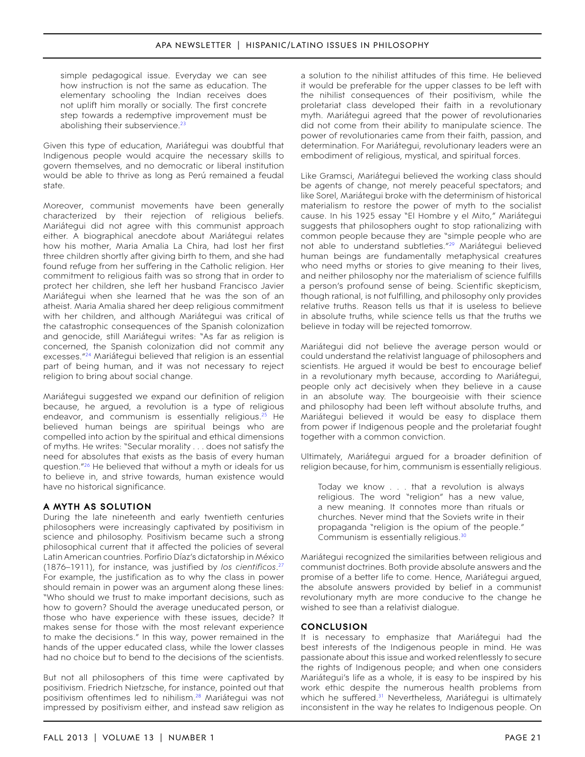simple pedagogical issue. Everyday we can see how instruction is not the same as education. The elementary schooling the Indian receives does not uplift him morally or socially. The first concrete step towards a redemptive improvement must be abolishing their subservience.<sup>[23](#page-22-22)</sup>

Given this type of education, Mariátegui was doubtful that Indigenous people would acquire the necessary skills to govern themselves, and no democratic or liberal institution would be able to thrive as long as Perú remained a feudal state.

Moreover, communist movements have been generally characterized by their rejection of religious beliefs. Mariátegui did not agree with this communist approach either. A biographical anecdote about Mariátegui relates how his mother, Maria Amalia La Chira, had lost her first three children shortly after giving birth to them, and she had found refuge from her suffering in the Catholic religion. Her commitment to religious faith was so strong that in order to protect her children, she left her husband Francisco Javier Mariátegui when she learned that he was the son of an atheist. Maria Amalia shared her deep religious commitment with her children, and although Mariátegui was critical of the catastrophic consequences of the Spanish colonization and genocide, still Mariátegui writes: "As far as religion is concerned, the Spanish colonization did not commit any excesses.["24](#page-22-23) Mariátegui believed that religion is an essential part of being human, and it was not necessary to reject religion to bring about social change.

Mariátegui suggested we expand our definition of religion because, he argued, a revolution is a type of religious endeavor, and communism is essentially religious.<sup>25</sup> He believed human beings are spiritual beings who are compelled into action by the spiritual and ethical dimensions of myths. He writes: "Secular morality . . . does not satisfy the need for absolutes that exists as the basis of every human question.["26](#page-22-25) He believed that without a myth or ideals for us to believe in, and strive towards, human existence would have no historical significance.

## **A Myth as Solution**

During the late nineteenth and early twentieth centuries philosophers were increasingly captivated by positivism in science and philosophy. Positivism became such a strong philosophical current that it affected the policies of several Latin American countries. Porfirio Díaz's dictatorship in México (1876–1911), for instance, was justified by *los cientificos*. [27](#page-22-26) For example, the justification as to why the class in power should remain in power was an argument along these lines: "Who should we trust to make important decisions, such as how to govern? Should the average uneducated person, or those who have experience with these issues, decide? It makes sense for those with the most relevant experience to make the decisions." In this way, power remained in the hands of the upper educated class, while the lower classes had no choice but to bend to the decisions of the scientists.

But not all philosophers of this time were captivated by positivism. Friedrich Nietzsche, for instance, pointed out that positivism oftentimes led to nihilism.<sup>[28](#page-22-27)</sup> Mariátegui was not impressed by positivism either, and instead saw religion as

a solution to the nihilist attitudes of this time. He believed it would be preferable for the upper classes to be left with the nihilist consequences of their positivism, while the proletariat class developed their faith in a revolutionary myth. Mariátegui agreed that the power of revolutionaries did not come from their ability to manipulate science. The power of revolutionaries came from their faith, passion, and determination. For Mariátegui, revolutionary leaders were an embodiment of religious, mystical, and spiritual forces.

Like Gramsci, Mariátegui believed the working class should be agents of change, not merely peaceful spectators; and like Sorel, Mariátegui broke with the determinism of historical materialism to restore the power of myth to the socialist cause. In his 1925 essay "El Hombre y el Mito," Mariátegui suggests that philosophers ought to stop rationalizing with common people because they are "simple people who are not able to understand subtleties.["29](#page-22-28) Mariátegui believed human beings are fundamentally metaphysical creatures who need myths or stories to give meaning to their lives, and neither philosophy nor the materialism of science fulfills a person's profound sense of being. Scientific skepticism, though rational, is not fulfilling, and philosophy only provides relative truths. Reason tells us that it is useless to believe in absolute truths, while science tells us that the truths we believe in today will be rejected tomorrow.

Mariátegui did not believe the average person would or could understand the relativist language of philosophers and scientists. He argued it would be best to encourage belief in a revolutionary myth because, according to Mariátegui, people only act decisively when they believe in a cause in an absolute way. The bourgeoisie with their science and philosophy had been left without absolute truths, and Mariátegui believed it would be easy to displace them from power if Indigenous people and the proletariat fought together with a common conviction.

Ultimately, Mariátegui argued for a broader definition of religion because, for him, communism is essentially religious.

Today we know . . . that a revolution is always religious. The word "religion" has a new value, a new meaning. It connotes more than rituals or churches. Never mind that the Soviets write in their propaganda "religion is the opium of the people." Communism is essentially religious[.30](#page-22-29)

Mariátegui recognized the similarities between religious and communist doctrines. Both provide absolute answers and the promise of a better life to come. Hence, Mariátegui argued, the absolute answers provided by belief in a communist revolutionary myth are more conducive to the change he wished to see than a relativist dialogue.

## **Conclusion**

It is necessary to emphasize that Mariátegui had the best interests of the Indigenous people in mind. He was passionate about this issue and worked relentlessly to secure the rights of Indigenous people; and when one considers Mariátegui's life as a whole, it is easy to be inspired by his work ethic despite the numerous health problems from which he suffered.<sup>31</sup> Nevertheless, Mariátegui is ultimately inconsistent in the way he relates to Indigenous people. On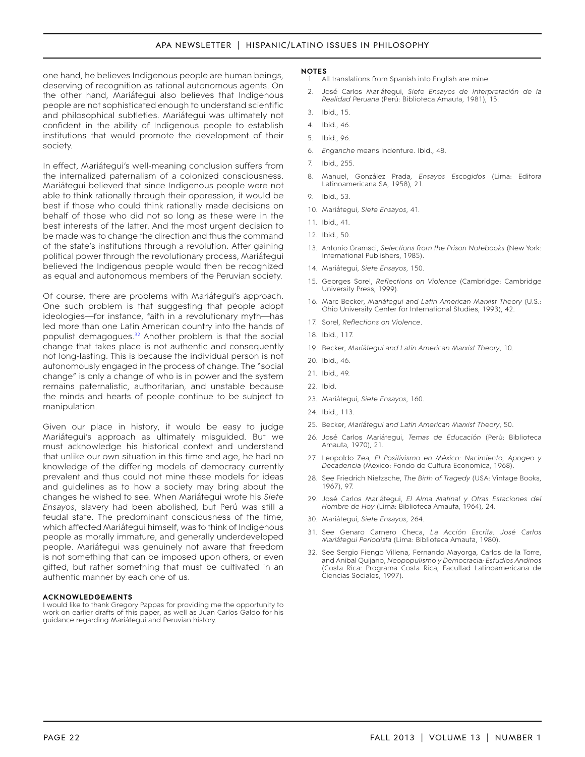one hand, he believes Indigenous people are human beings, deserving of recognition as rational autonomous agents. On the other hand, Mariátegui also believes that Indigenous people are not sophisticated enough to understand scientific and philosophical subtleties. Mariátegui was ultimately not confident in the ability of Indigenous people to establish institutions that would promote the development of their society.

In effect, Mariátegui's well-meaning conclusion suffers from the internalized paternalism of a colonized consciousness. Mariátegui believed that since Indigenous people were not able to think rationally through their oppression, it would be best if those who could think rationally made decisions on behalf of those who did not so long as these were in the best interests of the latter. And the most urgent decision to be made was to change the direction and thus the command of the state's institutions through a revolution. After gaining political power through the revolutionary process, Mariátegui believed the Indigenous people would then be recognized as equal and autonomous members of the Peruvian society.

Of course, there are problems with Mariátegui's approach. One such problem is that suggesting that people adopt ideologies—for instance, faith in a revolutionary myth—has led more than one Latin American country into the hands of populist demagogues.<sup>32</sup> Another problem is that the social change that takes place is not authentic and consequently not long-lasting. This is because the individual person is not autonomously engaged in the process of change. The "social change" is only a change of who is in power and the system remains paternalistic, authoritarian, and unstable because the minds and hearts of people continue to be subject to manipulation.

Given our place in history, it would be easy to judge Mariátegui's approach as ultimately misguided. But we must acknowledge his historical context and understand that unlike our own situation in this time and age, he had no knowledge of the differing models of democracy currently prevalent and thus could not mine these models for ideas and guidelines as to how a society may bring about the changes he wished to see. When Mariátegui wrote his *Siete Ensayos*, slavery had been abolished, but Perú was still a feudal state. The predominant consciousness of the time, which affected Mariátegui himself, was to think of Indigenous people as morally immature, and generally underdeveloped people. Mariátegui was genuinely not aware that freedom is not something that can be imposed upon others, or even gifted, but rather something that must be cultivated in an authentic manner by each one of us.

#### **acknowledgements**

I would like to thank Gregory Pappas for providing me the opportunity to work on earlier drafts of this paper, as well as Juan Carlos Galdo for his guidance regarding Mariátegui and Peruvian history.

#### **notes**

- <span id="page-22-0"></span>All translations from Spanish into English are mine.
- <span id="page-22-1"></span>2. José Carlos Mariátegui, *Siete Ensayos de Interpretación de la Realidad Peruana* (Perú: Biblioteca Amauta, 1981), 15.
- <span id="page-22-2"></span>3. Ibid., 15.
- <span id="page-22-3"></span>4. Ibid., 46.
- <span id="page-22-4"></span>5. Ibid., 96.
- <span id="page-22-5"></span>6. *Enganche* means indenture. Ibid., 48.
- <span id="page-22-6"></span>7. Ibid., 255.
- <span id="page-22-7"></span>8. Manuel, González Prada, *Ensayos Escogidos* (Lima: Editora Latinoamericana SA, 1958), 21.
- <span id="page-22-8"></span>9. Ibid., 53.
- <span id="page-22-9"></span>10. Mariátegui, *Siete Ensayos*, 41.
- <span id="page-22-10"></span>11. Ibid., 41.
- <span id="page-22-11"></span>12. Ibid., 50.
- <span id="page-22-12"></span>13. Antonio Gramsci, *Selections from the Prison Notebooks* (New York: International Publishers, 1985).
- <span id="page-22-13"></span>14. Mariátegui, *Siete Ensayos*, 150.
- <span id="page-22-14"></span>15. Georges Sorel, *Reflections on Violence* (Cambridge: Cambridge University Press, 1999).
- <span id="page-22-15"></span>16. Marc Becker, *Mariátegui and Latin American Marxist Theory* (U.S.: Ohio University Center for International Studies, 1993), 42.
- <span id="page-22-16"></span>17. Sorel, *Reflections on Violence*.
- <span id="page-22-17"></span>18. Ibid., 117.
- <span id="page-22-18"></span>19. Becker, *Mariátegui and Latin American Marxist Theory*, 10.
- <span id="page-22-19"></span>20. Ibid., 46.
- <span id="page-22-20"></span>21. Ibid., 49.
- <span id="page-22-21"></span>22. Ibid.
- <span id="page-22-22"></span>23. Mariátegui, *Siete Ensayos*, 160.
- <span id="page-22-23"></span>24. Ibid., 113.
- <span id="page-22-24"></span>25. Becker, *Mariátegui and Latin American Marxist Theory*, 50.
- <span id="page-22-25"></span>26. José Carlos Mariátegui, *Temas de Educación* (Perú: Biblioteca Amauta, 1970), 21.
- <span id="page-22-26"></span>27. Leopoldo Zea, *El Positivismo en México: Nacimiento, Apogeo y Decadencia* (Mexico: Fondo de Cultura Economica, 1968).
- <span id="page-22-27"></span>28. See Friedrich Nietzsche, *The Birth of Tragedy* (USA: Vintage Books, 1967), 97.
- <span id="page-22-28"></span>29. José Carlos Mariátegui, *El Alma Matinal y Otras Estaciones del Hombre de Hoy* (Lima: Biblioteca Amauta, 1964), 24.
- <span id="page-22-29"></span>30. Mariátegui, *Siete Ensayos*, 264.
- <span id="page-22-30"></span>31. See Genaro Carnero Checa, *La Acción Escrita: José Carlos Mariátegui Periodista* (Lima: Biblioteca Amauta, 1980).
- <span id="page-22-31"></span>32. See Sergio Fiengo Villena, Fernando Mayorga, Carlos de la Torre, and Anibal Quijano, *Neopopulismo y Democracia: Estudios Andinos* (Costa Rica: Programa Costa Rica, Facultad Latinoamericana de Ciencias Sociales, 1997).